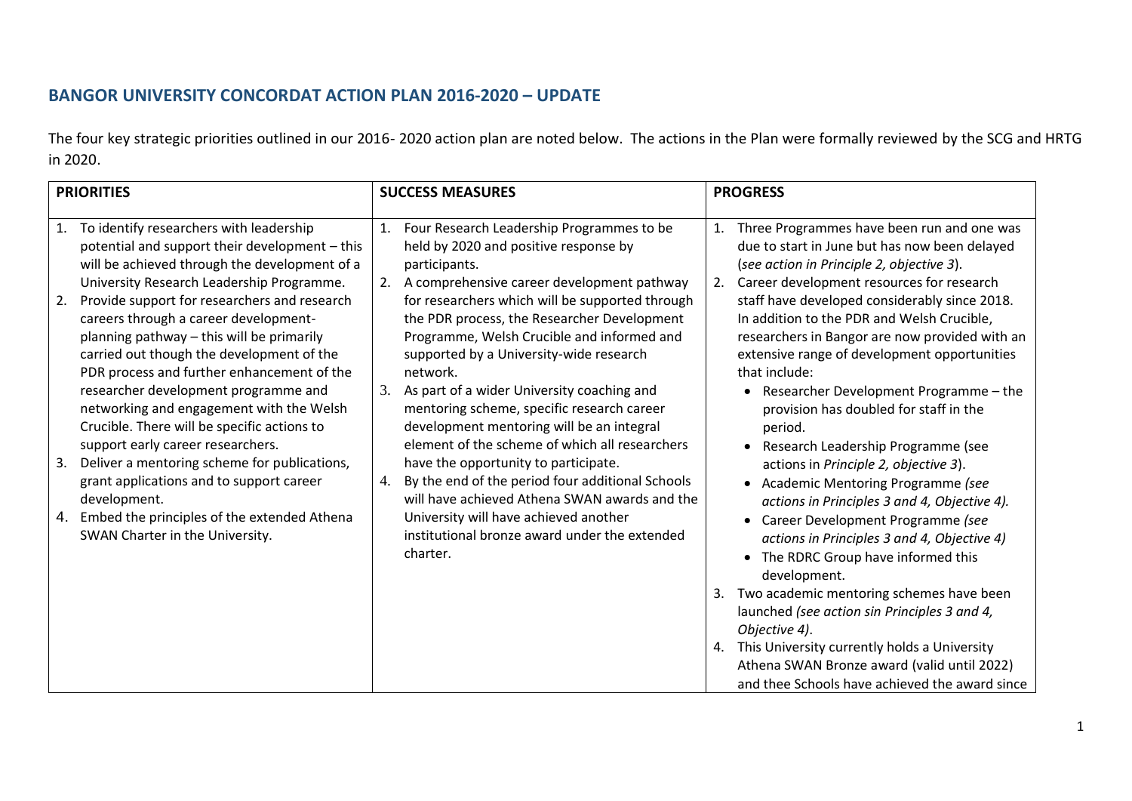# **BANGOR UNIVERSITY CONCORDAT ACTION PLAN 2016-2020 – UPDATE**

The four key strategic priorities outlined in our 2016- 2020 action plan are noted below. The actions in the Plan were formally reviewed by the SCG and HRTG in 2020.

|                | <b>PRIORITIES</b>                                                                                                                                                                                                                                                          | <b>SUCCESS MEASURES</b> |                                                                                                                                                                                                                                                   |    | <b>PROGRESS</b>                                                                                                                                                                                                                                             |  |  |
|----------------|----------------------------------------------------------------------------------------------------------------------------------------------------------------------------------------------------------------------------------------------------------------------------|-------------------------|---------------------------------------------------------------------------------------------------------------------------------------------------------------------------------------------------------------------------------------------------|----|-------------------------------------------------------------------------------------------------------------------------------------------------------------------------------------------------------------------------------------------------------------|--|--|
| $\mathbf{1}$ . | To identify researchers with leadership<br>potential and support their development - this<br>will be achieved through the development of a                                                                                                                                 | 1.                      | Four Research Leadership Programmes to be<br>held by 2020 and positive response by<br>participants.                                                                                                                                               |    | Three Programmes have been run and one was<br>due to start in June but has now been delayed<br>(see action in Principle 2, objective 3).                                                                                                                    |  |  |
| 2.             | University Research Leadership Programme.<br>Provide support for researchers and research<br>careers through a career development-<br>planning pathway - this will be primarily<br>carried out though the development of the<br>PDR process and further enhancement of the |                         | A comprehensive career development pathway<br>for researchers which will be supported through<br>the PDR process, the Researcher Development<br>Programme, Welsh Crucible and informed and<br>supported by a University-wide research<br>network. | 2. | Career development resources for research<br>staff have developed considerably since 2018.<br>In addition to the PDR and Welsh Crucible,<br>researchers in Bangor are now provided with an<br>extensive range of development opportunities<br>that include: |  |  |
|                | researcher development programme and<br>networking and engagement with the Welsh<br>Crucible. There will be specific actions to<br>support early career researchers.                                                                                                       | 3.                      | As part of a wider University coaching and<br>mentoring scheme, specific research career<br>development mentoring will be an integral<br>element of the scheme of which all researchers                                                           |    | • Researcher Development Programme - the<br>provision has doubled for staff in the<br>period.<br>Research Leadership Programme (see                                                                                                                         |  |  |
| 3.             | Deliver a mentoring scheme for publications,<br>grant applications and to support career<br>development.                                                                                                                                                                   | 4.                      | have the opportunity to participate.<br>By the end of the period four additional Schools<br>will have achieved Athena SWAN awards and the                                                                                                         |    | actions in Principle 2, objective 3).<br>• Academic Mentoring Programme (see<br>actions in Principles 3 and 4, Objective 4).                                                                                                                                |  |  |
| 4.             | Embed the principles of the extended Athena<br>SWAN Charter in the University.                                                                                                                                                                                             |                         | University will have achieved another<br>institutional bronze award under the extended<br>charter.                                                                                                                                                |    | • Career Development Programme (see<br>actions in Principles 3 and 4, Objective 4)<br>• The RDRC Group have informed this<br>development.                                                                                                                   |  |  |
|                |                                                                                                                                                                                                                                                                            |                         |                                                                                                                                                                                                                                                   | 3. | Two academic mentoring schemes have been<br>launched (see action sin Principles 3 and 4,<br>Objective 4).                                                                                                                                                   |  |  |
|                |                                                                                                                                                                                                                                                                            |                         |                                                                                                                                                                                                                                                   | 4. | This University currently holds a University<br>Athena SWAN Bronze award (valid until 2022)<br>and thee Schools have achieved the award since                                                                                                               |  |  |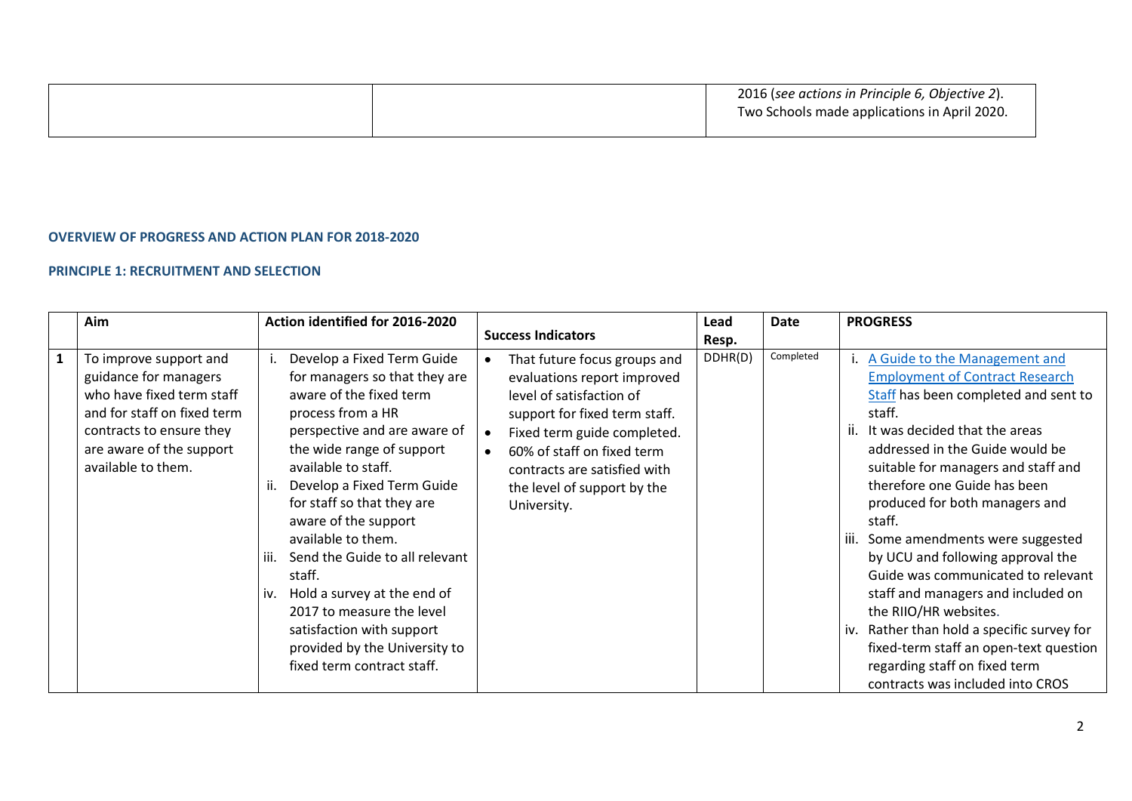|  | 2016 (see actions in Principle 6, Objective 2).<br>Two Schools made applications in April 2020. |
|--|-------------------------------------------------------------------------------------------------|
|  |                                                                                                 |

#### **OVERVIEW OF PROGRESS AND ACTION PLAN FOR 2018-2020**

#### **PRINCIPLE 1: RECRUITMENT AND SELECTION**

|              | Aim                                                                                                                                                                                       | Action identified for 2016-2020                                                                                                                                                                                                                                                                                                                                                                                                                                                                                              | <b>Success Indicators</b>                                                                                                                                                                                                                                           | Lead<br>Resp. | Date      | <b>PROGRESS</b>                                                                                                                                                                                                                                                                                                                                                                                                                                                                                                                                                                                                                                              |
|--------------|-------------------------------------------------------------------------------------------------------------------------------------------------------------------------------------------|------------------------------------------------------------------------------------------------------------------------------------------------------------------------------------------------------------------------------------------------------------------------------------------------------------------------------------------------------------------------------------------------------------------------------------------------------------------------------------------------------------------------------|---------------------------------------------------------------------------------------------------------------------------------------------------------------------------------------------------------------------------------------------------------------------|---------------|-----------|--------------------------------------------------------------------------------------------------------------------------------------------------------------------------------------------------------------------------------------------------------------------------------------------------------------------------------------------------------------------------------------------------------------------------------------------------------------------------------------------------------------------------------------------------------------------------------------------------------------------------------------------------------------|
| $\mathbf{1}$ | To improve support and<br>guidance for managers<br>who have fixed term staff<br>and for staff on fixed term<br>contracts to ensure they<br>are aware of the support<br>available to them. | Develop a Fixed Term Guide<br>for managers so that they are<br>aware of the fixed term<br>process from a HR<br>perspective and are aware of<br>the wide range of support<br>available to staff.<br>Develop a Fixed Term Guide<br>for staff so that they are<br>aware of the support<br>available to them.<br>Send the Guide to all relevant<br>iii.<br>staff.<br>Hold a survey at the end of<br>iv.<br>2017 to measure the level<br>satisfaction with support<br>provided by the University to<br>fixed term contract staff. | That future focus groups and<br>evaluations report improved<br>level of satisfaction of<br>support for fixed term staff.<br>Fixed term guide completed.<br>60% of staff on fixed term<br>contracts are satisfied with<br>the level of support by the<br>University. | DDHR(D)       | Completed | i. A Guide to the Management and<br><b>Employment of Contract Research</b><br>Staff has been completed and sent to<br>staff.<br>ii. It was decided that the areas<br>addressed in the Guide would be<br>suitable for managers and staff and<br>therefore one Guide has been<br>produced for both managers and<br>staff.<br>Some amendments were suggested<br>by UCU and following approval the<br>Guide was communicated to relevant<br>staff and managers and included on<br>the RIIO/HR websites.<br>Rather than hold a specific survey for<br>fixed-term staff an open-text question<br>regarding staff on fixed term<br>contracts was included into CROS |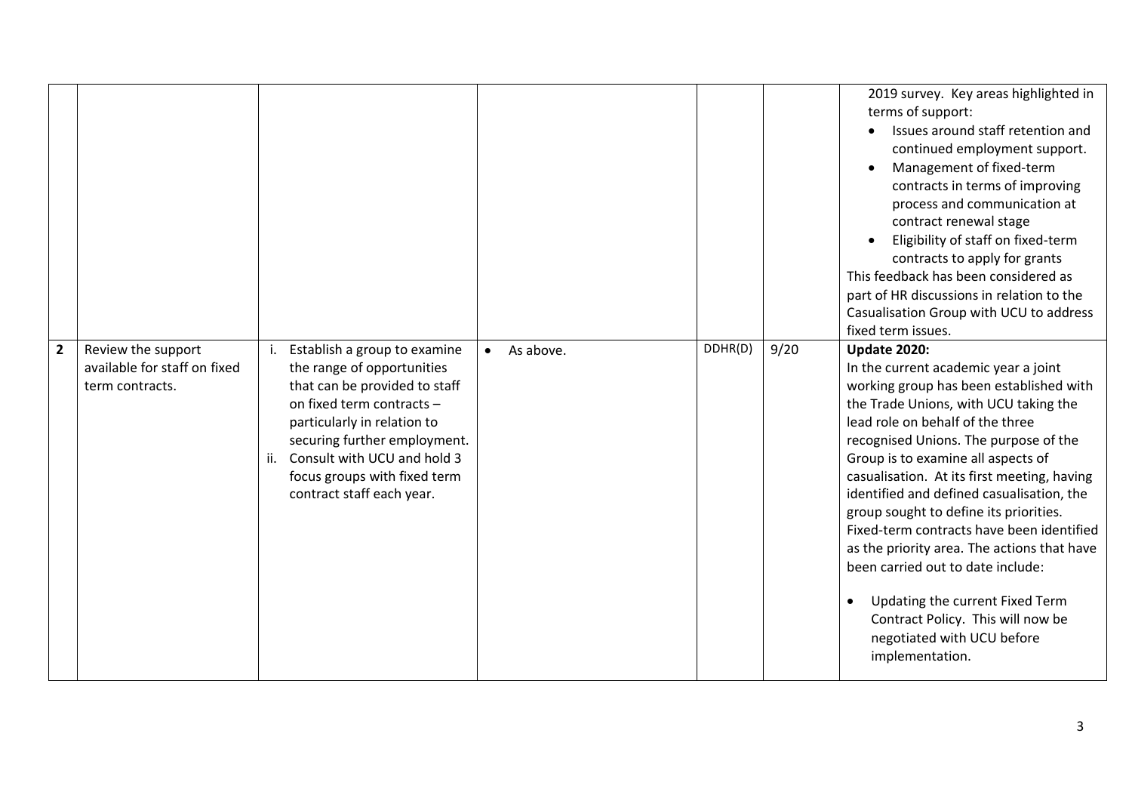|                |                                                                       |     |                                                                                                                                                                                                                                                                                     |                        |         |      | 2019 survey. Key areas highlighted in<br>terms of support:<br>Issues around staff retention and<br>continued employment support.<br>Management of fixed-term<br>contracts in terms of improving<br>process and communication at<br>contract renewal stage<br>Eligibility of staff on fixed-term<br>contracts to apply for grants<br>This feedback has been considered as<br>part of HR discussions in relation to the<br>Casualisation Group with UCU to address<br>fixed term issues.                                                                                                                                                                                          |
|----------------|-----------------------------------------------------------------------|-----|-------------------------------------------------------------------------------------------------------------------------------------------------------------------------------------------------------------------------------------------------------------------------------------|------------------------|---------|------|---------------------------------------------------------------------------------------------------------------------------------------------------------------------------------------------------------------------------------------------------------------------------------------------------------------------------------------------------------------------------------------------------------------------------------------------------------------------------------------------------------------------------------------------------------------------------------------------------------------------------------------------------------------------------------|
| $\overline{2}$ | Review the support<br>available for staff on fixed<br>term contracts. | ii. | Establish a group to examine<br>the range of opportunities<br>that can be provided to staff<br>on fixed term contracts -<br>particularly in relation to<br>securing further employment.<br>Consult with UCU and hold 3<br>focus groups with fixed term<br>contract staff each year. | As above.<br>$\bullet$ | DDHR(D) | 9/20 | <b>Update 2020:</b><br>In the current academic year a joint<br>working group has been established with<br>the Trade Unions, with UCU taking the<br>lead role on behalf of the three<br>recognised Unions. The purpose of the<br>Group is to examine all aspects of<br>casualisation. At its first meeting, having<br>identified and defined casualisation, the<br>group sought to define its priorities.<br>Fixed-term contracts have been identified<br>as the priority area. The actions that have<br>been carried out to date include:<br>Updating the current Fixed Term<br>$\bullet$<br>Contract Policy. This will now be<br>negotiated with UCU before<br>implementation. |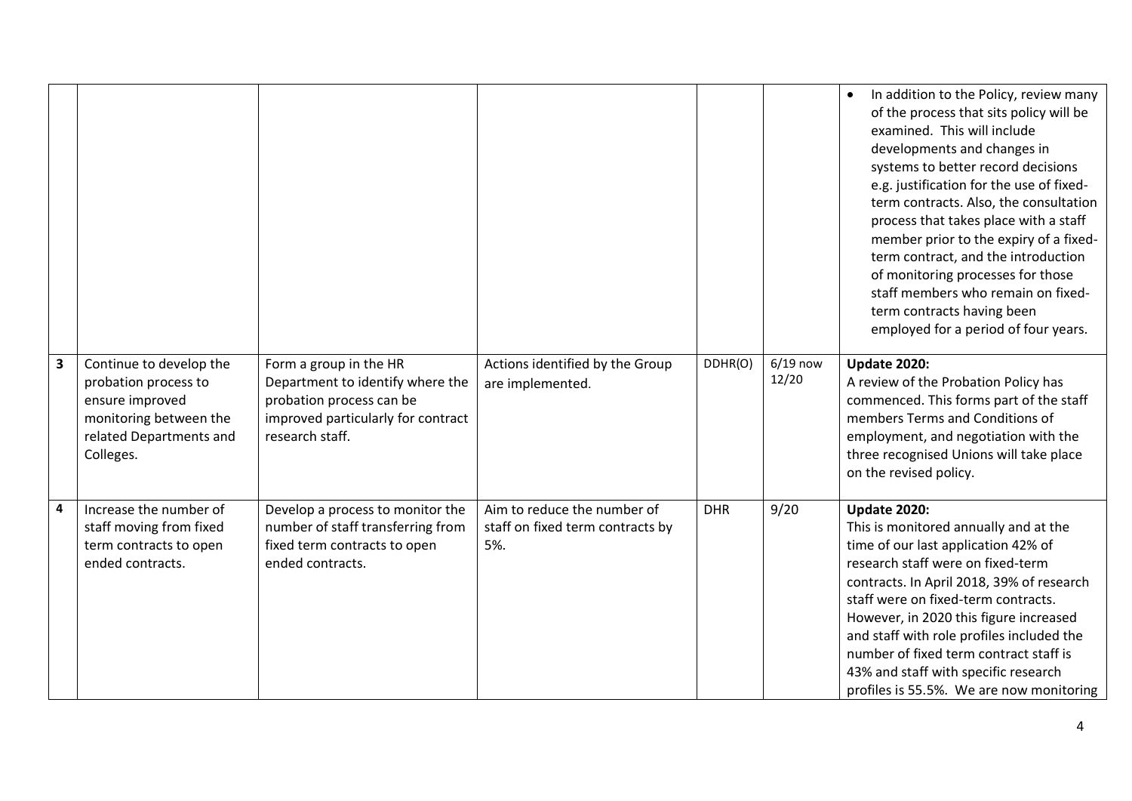|                         |                                            |                                                              |                                  |            |                     | In addition to the Policy, review many<br>$\bullet$<br>of the process that sits policy will be<br>examined. This will include<br>developments and changes in<br>systems to better record decisions<br>e.g. justification for the use of fixed-<br>term contracts. Also, the consultation<br>process that takes place with a staff<br>member prior to the expiry of a fixed-<br>term contract, and the introduction<br>of monitoring processes for those<br>staff members who remain on fixed-<br>term contracts having been<br>employed for a period of four years. |
|-------------------------|--------------------------------------------|--------------------------------------------------------------|----------------------------------|------------|---------------------|---------------------------------------------------------------------------------------------------------------------------------------------------------------------------------------------------------------------------------------------------------------------------------------------------------------------------------------------------------------------------------------------------------------------------------------------------------------------------------------------------------------------------------------------------------------------|
| $\overline{\mathbf{3}}$ | Continue to develop the                    | Form a group in the HR                                       | Actions identified by the Group  | DDHR(O)    | $6/19$ now<br>12/20 | <b>Update 2020:</b>                                                                                                                                                                                                                                                                                                                                                                                                                                                                                                                                                 |
|                         | probation process to<br>ensure improved    | Department to identify where the<br>probation process can be | are implemented.                 |            |                     | A review of the Probation Policy has<br>commenced. This forms part of the staff                                                                                                                                                                                                                                                                                                                                                                                                                                                                                     |
|                         | monitoring between the                     | improved particularly for contract                           |                                  |            |                     | members Terms and Conditions of                                                                                                                                                                                                                                                                                                                                                                                                                                                                                                                                     |
|                         | related Departments and                    | research staff.                                              |                                  |            |                     | employment, and negotiation with the                                                                                                                                                                                                                                                                                                                                                                                                                                                                                                                                |
|                         | Colleges.                                  |                                                              |                                  |            |                     | three recognised Unions will take place                                                                                                                                                                                                                                                                                                                                                                                                                                                                                                                             |
|                         |                                            |                                                              |                                  |            |                     | on the revised policy.                                                                                                                                                                                                                                                                                                                                                                                                                                                                                                                                              |
| 4                       | Increase the number of                     | Develop a process to monitor the                             | Aim to reduce the number of      | <b>DHR</b> | 9/20                | <b>Update 2020:</b>                                                                                                                                                                                                                                                                                                                                                                                                                                                                                                                                                 |
|                         | staff moving from fixed                    | number of staff transferring from                            | staff on fixed term contracts by |            |                     | This is monitored annually and at the                                                                                                                                                                                                                                                                                                                                                                                                                                                                                                                               |
|                         | term contracts to open<br>ended contracts. | fixed term contracts to open<br>ended contracts.             | 5%.                              |            |                     | time of our last application 42% of<br>research staff were on fixed-term                                                                                                                                                                                                                                                                                                                                                                                                                                                                                            |
|                         |                                            |                                                              |                                  |            |                     | contracts. In April 2018, 39% of research                                                                                                                                                                                                                                                                                                                                                                                                                                                                                                                           |
|                         |                                            |                                                              |                                  |            |                     | staff were on fixed-term contracts.                                                                                                                                                                                                                                                                                                                                                                                                                                                                                                                                 |
|                         |                                            |                                                              |                                  |            |                     | However, in 2020 this figure increased                                                                                                                                                                                                                                                                                                                                                                                                                                                                                                                              |
|                         |                                            |                                                              |                                  |            |                     | and staff with role profiles included the                                                                                                                                                                                                                                                                                                                                                                                                                                                                                                                           |
|                         |                                            |                                                              |                                  |            |                     | number of fixed term contract staff is                                                                                                                                                                                                                                                                                                                                                                                                                                                                                                                              |
|                         |                                            |                                                              |                                  |            |                     | 43% and staff with specific research                                                                                                                                                                                                                                                                                                                                                                                                                                                                                                                                |
|                         |                                            |                                                              |                                  |            |                     | profiles is 55.5%. We are now monitoring                                                                                                                                                                                                                                                                                                                                                                                                                                                                                                                            |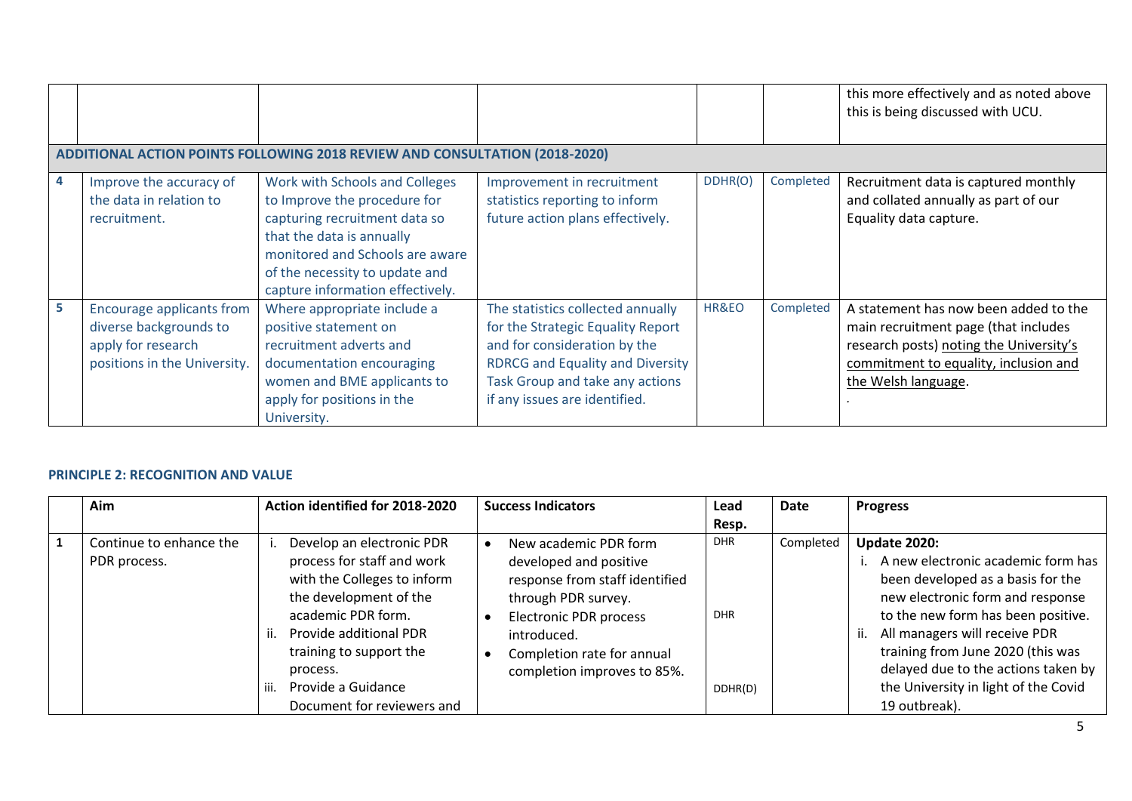|    |                                                                                                                  |                                                                                                                                                                                                                                       |                                                                                                                                                                                                                       |         |           | this more effectively and as noted above<br>this is being discussed with UCU.                                                                                                            |  |  |  |  |
|----|------------------------------------------------------------------------------------------------------------------|---------------------------------------------------------------------------------------------------------------------------------------------------------------------------------------------------------------------------------------|-----------------------------------------------------------------------------------------------------------------------------------------------------------------------------------------------------------------------|---------|-----------|------------------------------------------------------------------------------------------------------------------------------------------------------------------------------------------|--|--|--|--|
|    | <b>ADDITIONAL ACTION POINTS FOLLOWING 2018 REVIEW AND CONSULTATION (2018-2020)</b>                               |                                                                                                                                                                                                                                       |                                                                                                                                                                                                                       |         |           |                                                                                                                                                                                          |  |  |  |  |
| 4  | Improve the accuracy of<br>the data in relation to<br>recruitment.                                               | Work with Schools and Colleges<br>to Improve the procedure for<br>capturing recruitment data so<br>that the data is annually<br>monitored and Schools are aware<br>of the necessity to update and<br>capture information effectively. | Improvement in recruitment<br>statistics reporting to inform<br>future action plans effectively.                                                                                                                      | DDHR(O) | Completed | Recruitment data is captured monthly<br>and collated annually as part of our<br>Equality data capture.                                                                                   |  |  |  |  |
| 5. | <b>Encourage applicants from</b><br>diverse backgrounds to<br>apply for research<br>positions in the University. | Where appropriate include a<br>positive statement on<br>recruitment adverts and<br>documentation encouraging<br>women and BME applicants to<br>apply for positions in the<br>University.                                              | The statistics collected annually<br>for the Strategic Equality Report<br>and for consideration by the<br><b>RDRCG and Equality and Diversity</b><br>Task Group and take any actions<br>if any issues are identified. | HR&EO   | Completed | A statement has now been added to the<br>main recruitment page (that includes<br>research posts) noting the University's<br>commitment to equality, inclusion and<br>the Welsh language. |  |  |  |  |

### **PRINCIPLE 2: RECOGNITION AND VALUE**

|   | Aim                                     | Action identified for 2018-2020                                                                                                                                                                                                   | <b>Success Indicators</b>                                                                                                                                                                                             | Lead                                | <b>Date</b> | <b>Progress</b>                                                                                                                                                                                                                                                                                                               |
|---|-----------------------------------------|-----------------------------------------------------------------------------------------------------------------------------------------------------------------------------------------------------------------------------------|-----------------------------------------------------------------------------------------------------------------------------------------------------------------------------------------------------------------------|-------------------------------------|-------------|-------------------------------------------------------------------------------------------------------------------------------------------------------------------------------------------------------------------------------------------------------------------------------------------------------------------------------|
|   |                                         |                                                                                                                                                                                                                                   |                                                                                                                                                                                                                       | Resp.                               |             |                                                                                                                                                                                                                                                                                                                               |
| 1 | Continue to enhance the<br>PDR process. | Develop an electronic PDR<br>process for staff and work<br>with the Colleges to inform<br>the development of the<br>academic PDR form.<br>ii. Provide additional PDR<br>training to support the<br>process.<br>Provide a Guidance | New academic PDR form<br>developed and positive<br>response from staff identified<br>through PDR survey.<br><b>Electronic PDR process</b><br>introduced.<br>Completion rate for annual<br>completion improves to 85%. | <b>DHR</b><br><b>DHR</b><br>DDHR(D) | Completed   | <b>Update 2020:</b><br>A new electronic academic form has<br>been developed as a basis for the<br>new electronic form and response<br>to the new form has been positive.<br>All managers will receive PDR<br>training from June 2020 (this was<br>delayed due to the actions taken by<br>the University in light of the Covid |
|   |                                         | Document for reviewers and                                                                                                                                                                                                        |                                                                                                                                                                                                                       |                                     |             | 19 outbreak).                                                                                                                                                                                                                                                                                                                 |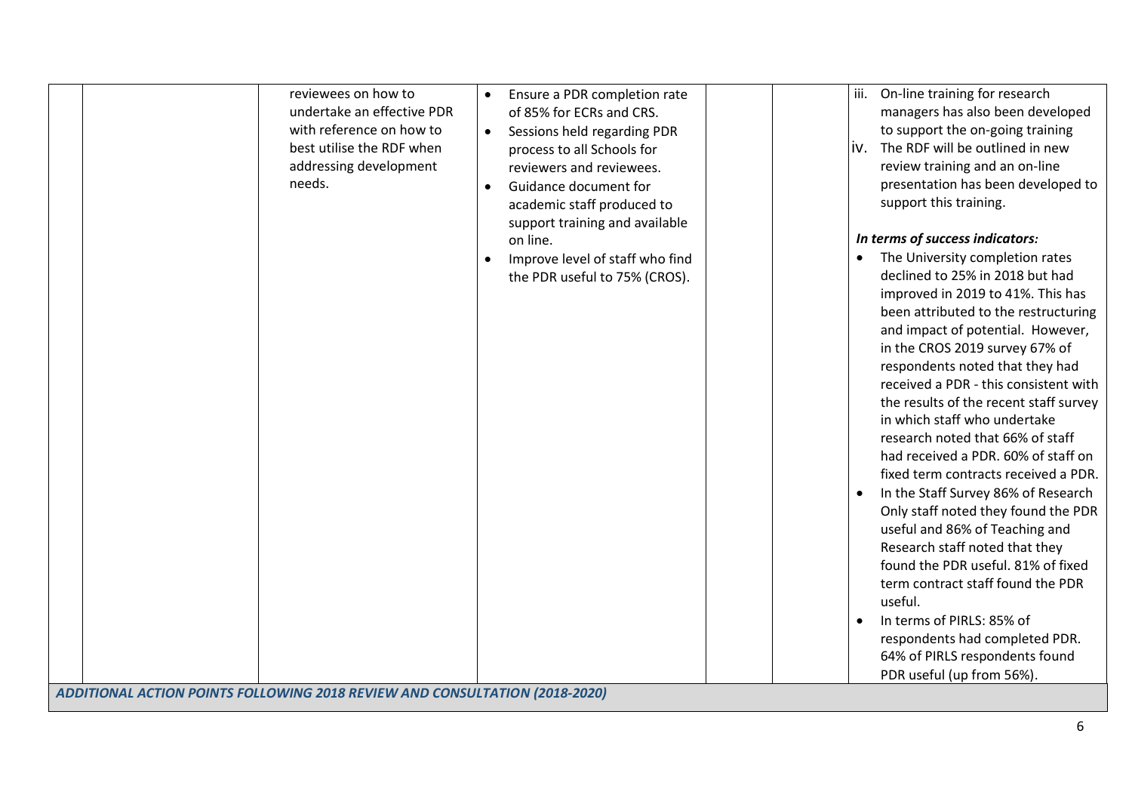| reviewees on how to<br>undertake an effective PDR<br>with reference on how to<br>best utilise the RDF when<br>addressing development<br>needs. | Ensure a PDR completion rate<br>$\bullet$<br>of 85% for ECRs and CRS.<br>Sessions held regarding PDR<br>$\bullet$<br>process to all Schools for<br>reviewers and reviewees.<br>Guidance document for<br>academic staff produced to<br>support training and available<br>on line.<br>Improve level of staff who find<br>the PDR useful to 75% (CROS). | iii.<br>On-line training for research<br>managers has also been developed<br>to support the on-going training<br>The RDF will be outlined in new<br>IV.<br>review training and an on-line<br>presentation has been developed to<br>support this training.<br>In terms of success indicators:<br>The University completion rates<br>$\bullet$<br>declined to 25% in 2018 but had<br>improved in 2019 to 41%. This has<br>been attributed to the restructuring<br>and impact of potential. However,<br>in the CROS 2019 survey 67% of<br>respondents noted that they had<br>received a PDR - this consistent with<br>the results of the recent staff survey<br>in which staff who undertake<br>research noted that 66% of staff<br>had received a PDR. 60% of staff on<br>fixed term contracts received a PDR.<br>In the Staff Survey 86% of Research<br>Only staff noted they found the PDR<br>useful and 86% of Teaching and<br>Research staff noted that they<br>found the PDR useful. 81% of fixed<br>term contract staff found the PDR<br>useful.<br>In terms of PIRLS: 85% of<br>respondents had completed PDR. |
|------------------------------------------------------------------------------------------------------------------------------------------------|------------------------------------------------------------------------------------------------------------------------------------------------------------------------------------------------------------------------------------------------------------------------------------------------------------------------------------------------------|---------------------------------------------------------------------------------------------------------------------------------------------------------------------------------------------------------------------------------------------------------------------------------------------------------------------------------------------------------------------------------------------------------------------------------------------------------------------------------------------------------------------------------------------------------------------------------------------------------------------------------------------------------------------------------------------------------------------------------------------------------------------------------------------------------------------------------------------------------------------------------------------------------------------------------------------------------------------------------------------------------------------------------------------------------------------------------------------------------------------|
|                                                                                                                                                |                                                                                                                                                                                                                                                                                                                                                      |                                                                                                                                                                                                                                                                                                                                                                                                                                                                                                                                                                                                                                                                                                                                                                                                                                                                                                                                                                                                                                                                                                                     |
|                                                                                                                                                |                                                                                                                                                                                                                                                                                                                                                      |                                                                                                                                                                                                                                                                                                                                                                                                                                                                                                                                                                                                                                                                                                                                                                                                                                                                                                                                                                                                                                                                                                                     |
|                                                                                                                                                |                                                                                                                                                                                                                                                                                                                                                      | 64% of PIRLS respondents found                                                                                                                                                                                                                                                                                                                                                                                                                                                                                                                                                                                                                                                                                                                                                                                                                                                                                                                                                                                                                                                                                      |
|                                                                                                                                                |                                                                                                                                                                                                                                                                                                                                                      | PDR useful (up from 56%).                                                                                                                                                                                                                                                                                                                                                                                                                                                                                                                                                                                                                                                                                                                                                                                                                                                                                                                                                                                                                                                                                           |
| ADDITIONAL ACTION POINTS FOLLOWING 2018 REVIEW AND CONSULTATION (2018-2020)                                                                    |                                                                                                                                                                                                                                                                                                                                                      |                                                                                                                                                                                                                                                                                                                                                                                                                                                                                                                                                                                                                                                                                                                                                                                                                                                                                                                                                                                                                                                                                                                     |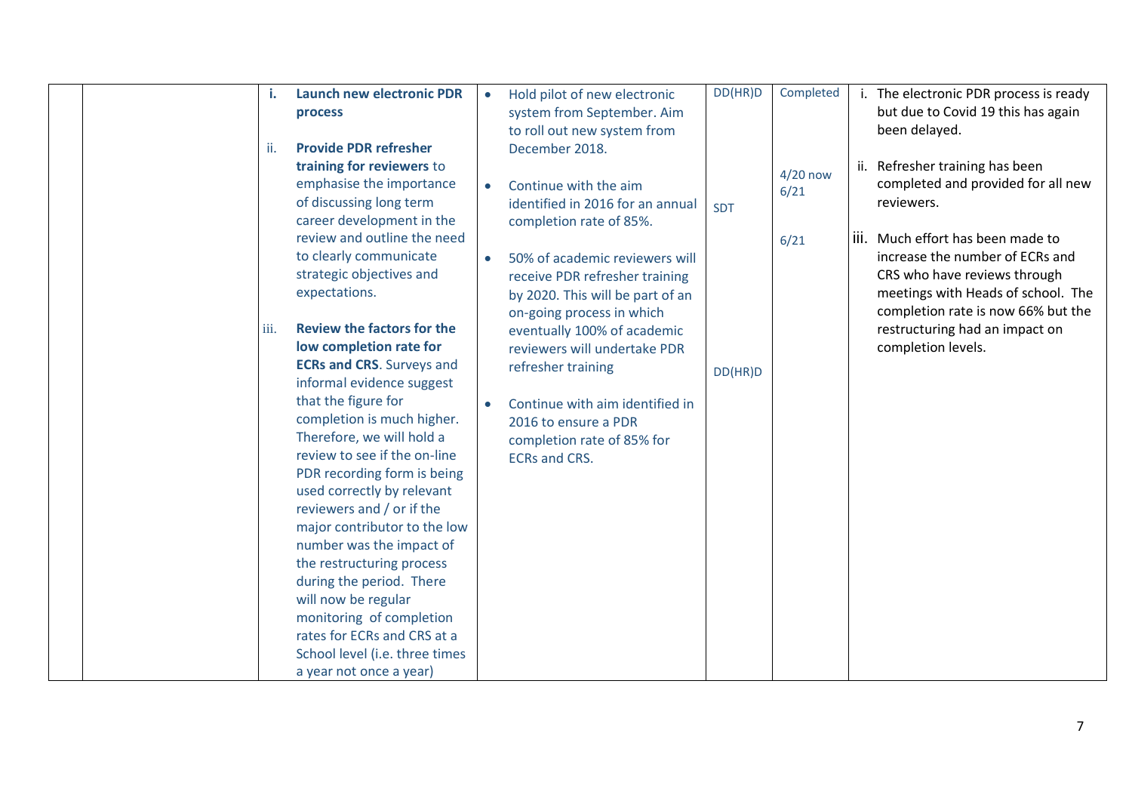|  | i.<br>ii. | <b>Launch new electronic PDR</b><br>process<br><b>Provide PDR refresher</b><br>training for reviewers to<br>emphasise the importance                                        | $\bullet$ | Hold pilot of new electronic<br>system from September. Aim<br>to roll out new system from<br>December 2018.                       | DD(HR)D    | Completed<br>$4/20$ now | i. The electronic PDR process is ready<br>but due to Covid 19 this has again<br>been delayed.<br>ii. Refresher training has been<br>completed and provided for all new |
|--|-----------|-----------------------------------------------------------------------------------------------------------------------------------------------------------------------------|-----------|-----------------------------------------------------------------------------------------------------------------------------------|------------|-------------------------|------------------------------------------------------------------------------------------------------------------------------------------------------------------------|
|  |           | of discussing long term<br>career development in the<br>review and outline the need                                                                                         | $\bullet$ | Continue with the aim<br>identified in 2016 for an annual<br>completion rate of 85%.                                              | <b>SDT</b> | 6/21<br>6/21            | reviewers.<br>iii. Much effort has been made to                                                                                                                        |
|  |           | to clearly communicate<br>strategic objectives and<br>expectations.                                                                                                         | $\bullet$ | 50% of academic reviewers will<br>receive PDR refresher training<br>by 2020. This will be part of an<br>on-going process in which |            |                         | increase the number of ECRs and<br>CRS who have reviews through<br>meetings with Heads of school. The<br>completion rate is now 66% but the                            |
|  | iii.      | <b>Review the factors for the</b><br>low completion rate for<br><b>ECRs and CRS.</b> Surveys and<br>informal evidence suggest                                               |           | eventually 100% of academic<br>reviewers will undertake PDR<br>refresher training                                                 | DD(HR)D    |                         | restructuring had an impact on<br>completion levels.                                                                                                                   |
|  |           | that the figure for<br>completion is much higher.<br>Therefore, we will hold a<br>review to see if the on-line<br>PDR recording form is being<br>used correctly by relevant |           | Continue with aim identified in<br>2016 to ensure a PDR<br>completion rate of 85% for<br><b>ECRs and CRS.</b>                     |            |                         |                                                                                                                                                                        |
|  |           | reviewers and / or if the<br>major contributor to the low<br>number was the impact of<br>the restructuring process<br>during the period. There                              |           |                                                                                                                                   |            |                         |                                                                                                                                                                        |
|  |           | will now be regular<br>monitoring of completion<br>rates for ECRs and CRS at a<br>School level (i.e. three times<br>a year not once a year)                                 |           |                                                                                                                                   |            |                         |                                                                                                                                                                        |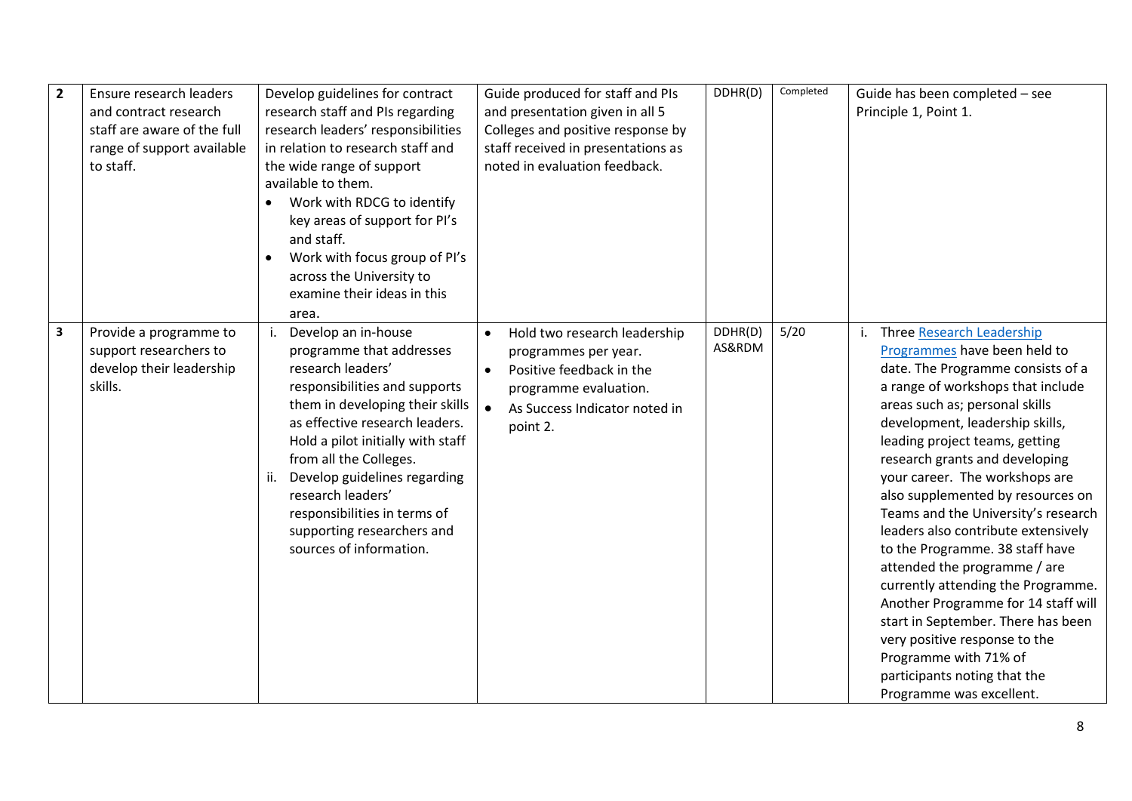| $\overline{2}$ | Ensure research leaders<br>and contract research<br>staff are aware of the full<br>range of support available<br>to staff. | Develop guidelines for contract<br>research staff and PIs regarding<br>research leaders' responsibilities<br>in relation to research staff and<br>the wide range of support<br>available to them.<br>Work with RDCG to identify<br>$\bullet$<br>key areas of support for PI's<br>and staff.<br>Work with focus group of PI's<br>$\bullet$<br>across the University to<br>examine their ideas in this<br>area. | Guide produced for staff and PIs<br>and presentation given in all 5<br>Colleges and positive response by<br>staff received in presentations as<br>noted in evaluation feedback.               | DDHR(D)           | Completed | Guide has been completed - see<br>Principle 1, Point 1.                                                                                                                                                                                                                                                                                                                                                                                                                                                                                                                                                                                                                                                                                             |
|----------------|----------------------------------------------------------------------------------------------------------------------------|---------------------------------------------------------------------------------------------------------------------------------------------------------------------------------------------------------------------------------------------------------------------------------------------------------------------------------------------------------------------------------------------------------------|-----------------------------------------------------------------------------------------------------------------------------------------------------------------------------------------------|-------------------|-----------|-----------------------------------------------------------------------------------------------------------------------------------------------------------------------------------------------------------------------------------------------------------------------------------------------------------------------------------------------------------------------------------------------------------------------------------------------------------------------------------------------------------------------------------------------------------------------------------------------------------------------------------------------------------------------------------------------------------------------------------------------------|
| $\mathbf{3}$   | Provide a programme to<br>support researchers to<br>develop their leadership<br>skills.                                    | Develop an in-house<br>programme that addresses<br>research leaders'<br>responsibilities and supports<br>them in developing their skills<br>as effective research leaders.<br>Hold a pilot initially with staff<br>from all the Colleges.<br>Develop guidelines regarding<br>ii.<br>research leaders'<br>responsibilities in terms of<br>supporting researchers and<br>sources of information.                | Hold two research leadership<br>$\bullet$<br>programmes per year.<br>Positive feedback in the<br>$\bullet$<br>programme evaluation.<br>$\bullet$<br>As Success Indicator noted in<br>point 2. | DDHR(D)<br>AS&RDM | 5/20      | Three Research Leadership<br>i.<br>Programmes have been held to<br>date. The Programme consists of a<br>a range of workshops that include<br>areas such as; personal skills<br>development, leadership skills,<br>leading project teams, getting<br>research grants and developing<br>your career. The workshops are<br>also supplemented by resources on<br>Teams and the University's research<br>leaders also contribute extensively<br>to the Programme. 38 staff have<br>attended the programme / are<br>currently attending the Programme.<br>Another Programme for 14 staff will<br>start in September. There has been<br>very positive response to the<br>Programme with 71% of<br>participants noting that the<br>Programme was excellent. |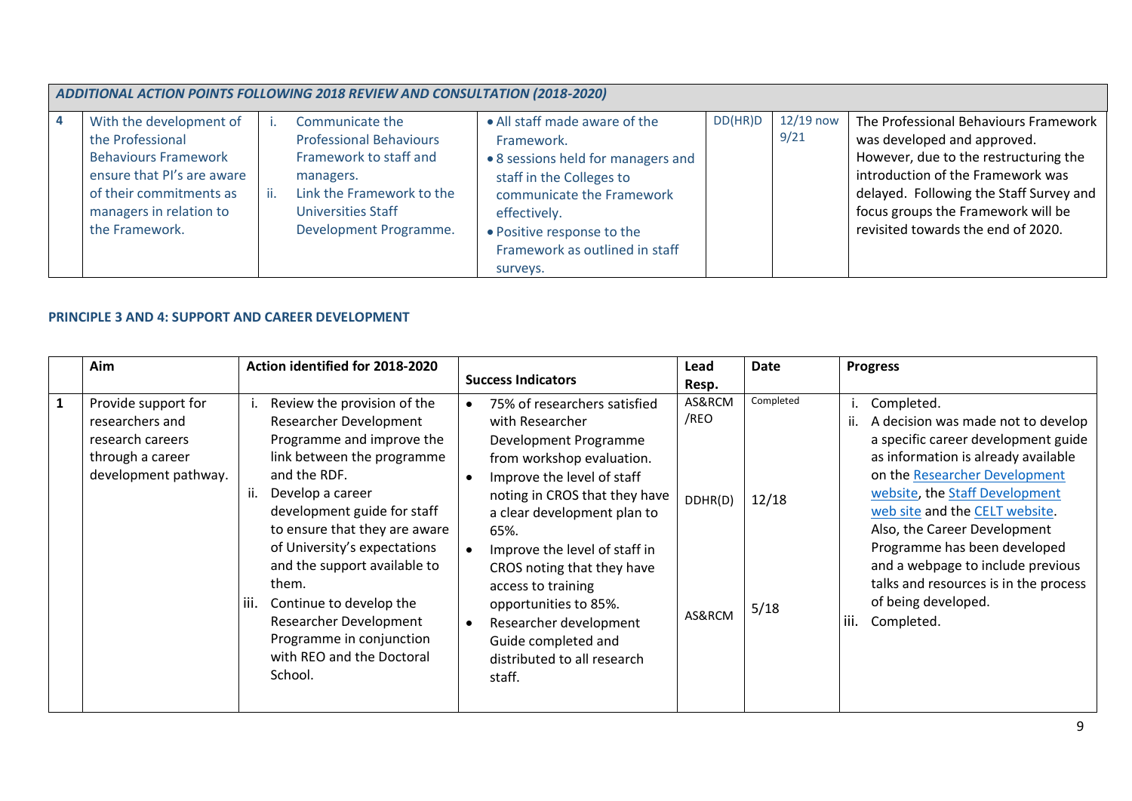| ADDITIONAL ACTION POINTS FOLLOWING 2018 REVIEW AND CONSULTATION (2018-2020)                                                                                                      |  |                                                                                                                                                                       |                                                                                                                                                                                                                                        |         |                     |                                                                                                                                                                                                                                                                           |  |  |  |
|----------------------------------------------------------------------------------------------------------------------------------------------------------------------------------|--|-----------------------------------------------------------------------------------------------------------------------------------------------------------------------|----------------------------------------------------------------------------------------------------------------------------------------------------------------------------------------------------------------------------------------|---------|---------------------|---------------------------------------------------------------------------------------------------------------------------------------------------------------------------------------------------------------------------------------------------------------------------|--|--|--|
| With the development of<br>the Professional<br><b>Behaviours Framework</b><br>ensure that PI's are aware<br>of their commitments as<br>managers in relation to<br>the Framework. |  | Communicate the<br><b>Professional Behaviours</b><br>Framework to staff and<br>managers.<br>Link the Framework to the<br>Universities Staff<br>Development Programme. | • All staff made aware of the<br>Framework.<br>• 8 sessions held for managers and<br>staff in the Colleges to<br>communicate the Framework<br>effectively.<br>• Positive response to the<br>Framework as outlined in staff<br>surveys. | DD(HR)D | $12/19$ now<br>9/21 | The Professional Behaviours Framework<br>was developed and approved.<br>However, due to the restructuring the<br>introduction of the Framework was<br>delayed. Following the Staff Survey and<br>focus groups the Framework will be<br>revisited towards the end of 2020. |  |  |  |

## **PRINCIPLE 3 AND 4: SUPPORT AND CAREER DEVELOPMENT**

|              | Aim                                                                                                    | Action identified for 2018-2020                                                                                                                                                                                                                                                                                                                                                                                                 | <b>Success Indicators</b>                                                                                                                                                                                                                                                                                                                                                                                           | Lead<br>Resp.                       | Date                       | <b>Progress</b>                                                                                                                                                                                                                                                                                                                                                                                                                             |
|--------------|--------------------------------------------------------------------------------------------------------|---------------------------------------------------------------------------------------------------------------------------------------------------------------------------------------------------------------------------------------------------------------------------------------------------------------------------------------------------------------------------------------------------------------------------------|---------------------------------------------------------------------------------------------------------------------------------------------------------------------------------------------------------------------------------------------------------------------------------------------------------------------------------------------------------------------------------------------------------------------|-------------------------------------|----------------------------|---------------------------------------------------------------------------------------------------------------------------------------------------------------------------------------------------------------------------------------------------------------------------------------------------------------------------------------------------------------------------------------------------------------------------------------------|
| $\mathbf{1}$ | Provide support for<br>researchers and<br>research careers<br>through a career<br>development pathway. | Review the provision of the<br>Researcher Development<br>Programme and improve the<br>link between the programme<br>and the RDF.<br>Develop a career<br>development guide for staff<br>to ensure that they are aware<br>of University's expectations<br>and the support available to<br>them.<br>liii.<br>Continue to develop the<br>Researcher Development<br>Programme in conjunction<br>with REO and the Doctoral<br>School. | 75% of researchers satisfied<br>with Researcher<br>Development Programme<br>from workshop evaluation.<br>Improve the level of staff<br>noting in CROS that they have<br>a clear development plan to<br>65%.<br>Improve the level of staff in<br>CROS noting that they have<br>access to training<br>opportunities to 85%.<br>Researcher development<br>Guide completed and<br>distributed to all research<br>staff. | AS&RCM<br>/REO<br>DDHR(D)<br>AS&RCM | Completed<br>12/18<br>5/18 | Completed.<br>ι.<br>A decision was made not to develop<br>ii.<br>a specific career development guide<br>as information is already available<br>on the Researcher Development<br>website, the Staff Development<br>web site and the CELT website.<br>Also, the Career Development<br>Programme has been developed<br>and a webpage to include previous<br>talks and resources is in the process<br>of being developed.<br>Completed.<br>iii. |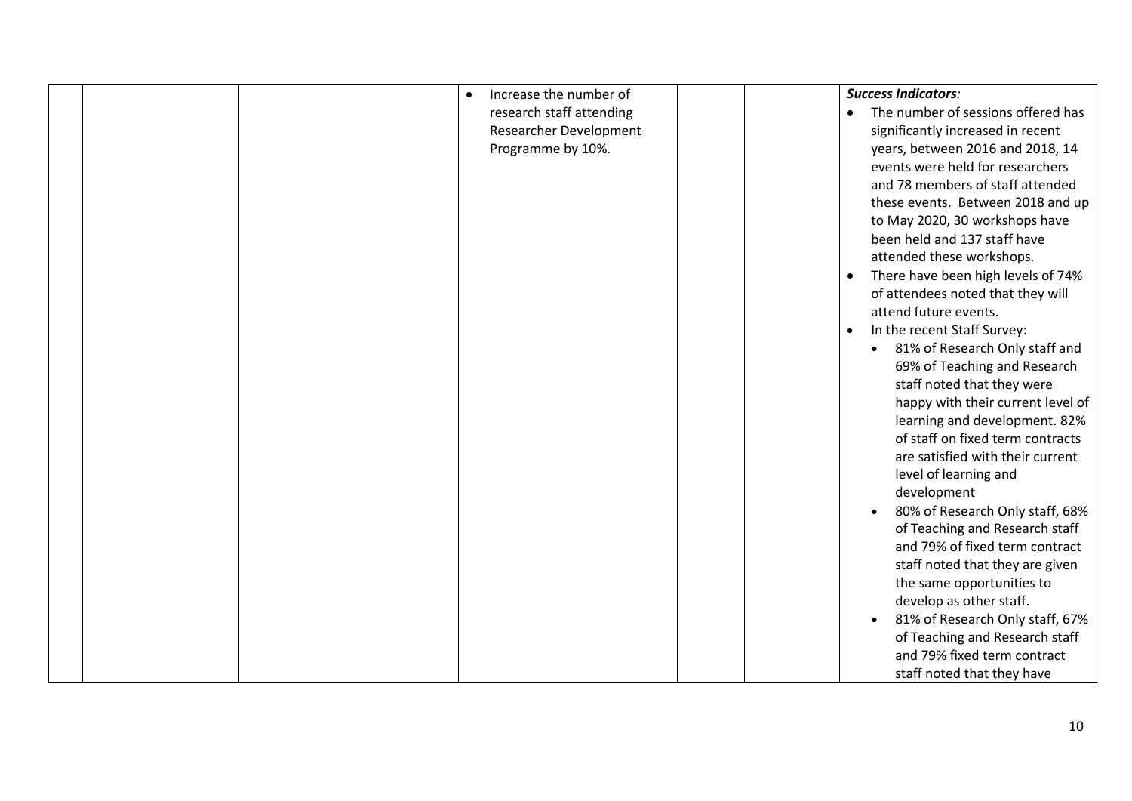|  | Increase the number of<br>$\bullet$ | <b>Success Indicators:</b>                   |
|--|-------------------------------------|----------------------------------------------|
|  | research staff attending            | The number of sessions offered has           |
|  | Researcher Development              | significantly increased in recent            |
|  | Programme by 10%.                   | years, between 2016 and 2018, 14             |
|  |                                     | events were held for researchers             |
|  |                                     | and 78 members of staff attended             |
|  |                                     | these events. Between 2018 and up            |
|  |                                     | to May 2020, 30 workshops have               |
|  |                                     | been held and 137 staff have                 |
|  |                                     | attended these workshops.                    |
|  |                                     | There have been high levels of 74%           |
|  |                                     | of attendees noted that they will            |
|  |                                     | attend future events.                        |
|  |                                     | In the recent Staff Survey:<br>$\bullet$     |
|  |                                     | 81% of Research Only staff and<br>$\bullet$  |
|  |                                     | 69% of Teaching and Research                 |
|  |                                     | staff noted that they were                   |
|  |                                     | happy with their current level of            |
|  |                                     | learning and development. 82%                |
|  |                                     | of staff on fixed term contracts             |
|  |                                     | are satisfied with their current             |
|  |                                     | level of learning and                        |
|  |                                     | development                                  |
|  |                                     | 80% of Research Only staff, 68%<br>$\bullet$ |
|  |                                     | of Teaching and Research staff               |
|  |                                     | and 79% of fixed term contract               |
|  |                                     | staff noted that they are given              |
|  |                                     | the same opportunities to                    |
|  |                                     | develop as other staff.                      |
|  |                                     | 81% of Research Only staff, 67%<br>$\bullet$ |
|  |                                     | of Teaching and Research staff               |
|  |                                     | and 79% fixed term contract                  |
|  |                                     | staff noted that they have                   |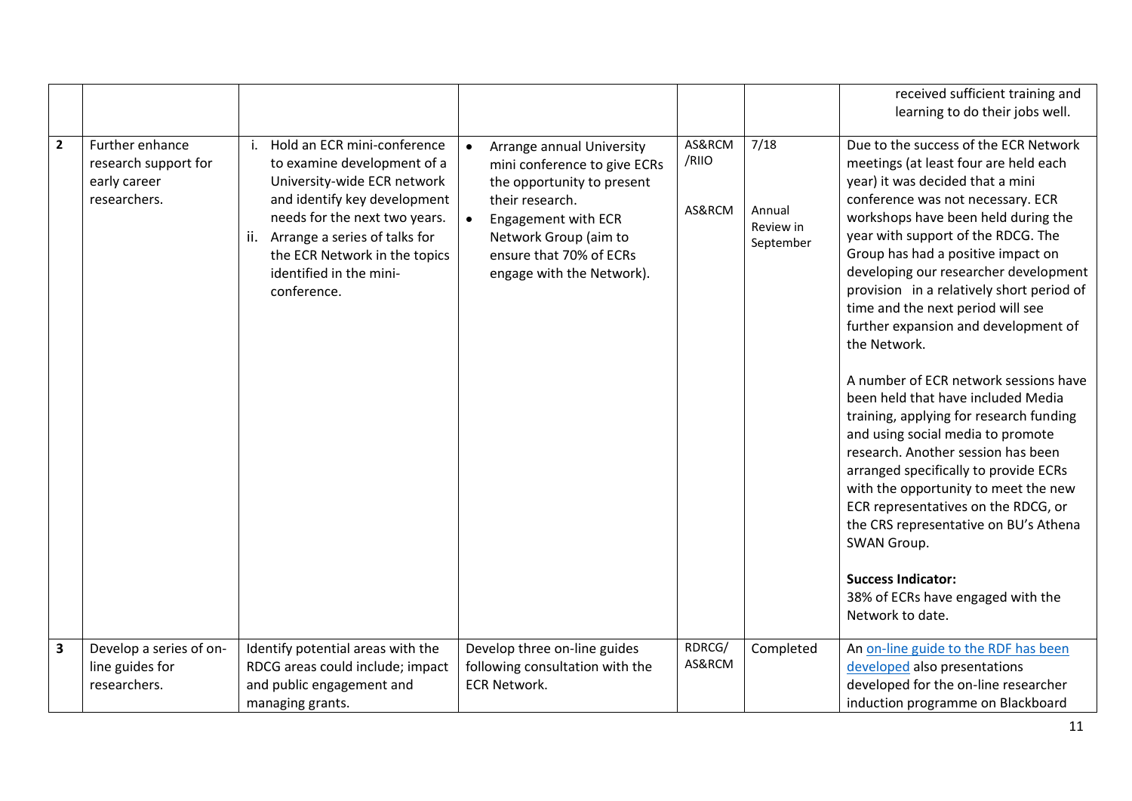|                         |                                                                         |                                                                                                                                                                                                                                                                                     |                                                                                                                                                                                                                    |                           |                                          | received sufficient training and                                                                                                                                                                                                                                                                                                                                                                                                                                                                                                                                                                                                                                                                                                                                                                                                                                                                                                         |
|-------------------------|-------------------------------------------------------------------------|-------------------------------------------------------------------------------------------------------------------------------------------------------------------------------------------------------------------------------------------------------------------------------------|--------------------------------------------------------------------------------------------------------------------------------------------------------------------------------------------------------------------|---------------------------|------------------------------------------|------------------------------------------------------------------------------------------------------------------------------------------------------------------------------------------------------------------------------------------------------------------------------------------------------------------------------------------------------------------------------------------------------------------------------------------------------------------------------------------------------------------------------------------------------------------------------------------------------------------------------------------------------------------------------------------------------------------------------------------------------------------------------------------------------------------------------------------------------------------------------------------------------------------------------------------|
|                         |                                                                         |                                                                                                                                                                                                                                                                                     |                                                                                                                                                                                                                    |                           |                                          | learning to do their jobs well.                                                                                                                                                                                                                                                                                                                                                                                                                                                                                                                                                                                                                                                                                                                                                                                                                                                                                                          |
| $\overline{2}$          | Further enhance<br>research support for<br>early career<br>researchers. | Hold an ECR mini-conference<br>j.<br>to examine development of a<br>University-wide ECR network<br>and identify key development<br>needs for the next two years.<br>Arrange a series of talks for<br>ii.<br>the ECR Network in the topics<br>identified in the mini-<br>conference. | Arrange annual University<br>mini conference to give ECRs<br>the opportunity to present<br>their research.<br>Engagement with ECR<br>Network Group (aim to<br>ensure that 70% of ECRs<br>engage with the Network). | AS&RCM<br>/RIIO<br>AS&RCM | 7/18<br>Annual<br>Review in<br>September | Due to the success of the ECR Network<br>meetings (at least four are held each<br>year) it was decided that a mini<br>conference was not necessary. ECR<br>workshops have been held during the<br>year with support of the RDCG. The<br>Group has had a positive impact on<br>developing our researcher development<br>provision in a relatively short period of<br>time and the next period will see<br>further expansion and development of<br>the Network.<br>A number of ECR network sessions have<br>been held that have included Media<br>training, applying for research funding<br>and using social media to promote<br>research. Another session has been<br>arranged specifically to provide ECRs<br>with the opportunity to meet the new<br>ECR representatives on the RDCG, or<br>the CRS representative on BU's Athena<br>SWAN Group.<br><b>Success Indicator:</b><br>38% of ECRs have engaged with the<br>Network to date. |
| $\overline{\mathbf{3}}$ | Develop a series of on-                                                 | Identify potential areas with the                                                                                                                                                                                                                                                   | Develop three on-line guides                                                                                                                                                                                       | RDRCG/<br>AS&RCM          | Completed                                | An on-line guide to the RDF has been<br>developed also presentations                                                                                                                                                                                                                                                                                                                                                                                                                                                                                                                                                                                                                                                                                                                                                                                                                                                                     |
|                         | line guides for<br>researchers.                                         | RDCG areas could include; impact<br>and public engagement and                                                                                                                                                                                                                       | following consultation with the<br><b>ECR Network.</b>                                                                                                                                                             |                           |                                          | developed for the on-line researcher                                                                                                                                                                                                                                                                                                                                                                                                                                                                                                                                                                                                                                                                                                                                                                                                                                                                                                     |
|                         |                                                                         |                                                                                                                                                                                                                                                                                     |                                                                                                                                                                                                                    |                           |                                          |                                                                                                                                                                                                                                                                                                                                                                                                                                                                                                                                                                                                                                                                                                                                                                                                                                                                                                                                          |
|                         |                                                                         | managing grants.                                                                                                                                                                                                                                                                    |                                                                                                                                                                                                                    |                           |                                          | induction programme on Blackboard                                                                                                                                                                                                                                                                                                                                                                                                                                                                                                                                                                                                                                                                                                                                                                                                                                                                                                        |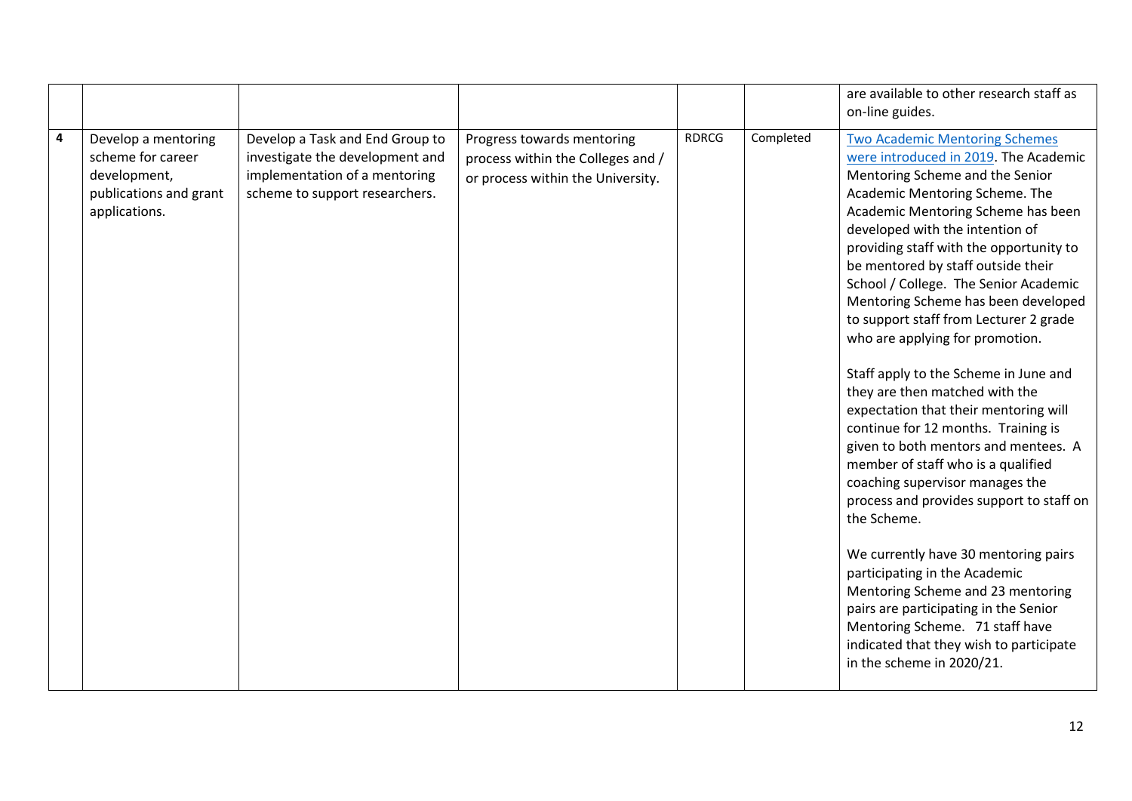| on-line guides.                                                                                                                                                                                                                                                                                                                                                                                                                                                                                                                                                                                                                                                                                                                                                                                                                                                                                                                                                                                                                                                                                                                                                                                                                                                                                                                                                                                                                                                                                     |  |
|-----------------------------------------------------------------------------------------------------------------------------------------------------------------------------------------------------------------------------------------------------------------------------------------------------------------------------------------------------------------------------------------------------------------------------------------------------------------------------------------------------------------------------------------------------------------------------------------------------------------------------------------------------------------------------------------------------------------------------------------------------------------------------------------------------------------------------------------------------------------------------------------------------------------------------------------------------------------------------------------------------------------------------------------------------------------------------------------------------------------------------------------------------------------------------------------------------------------------------------------------------------------------------------------------------------------------------------------------------------------------------------------------------------------------------------------------------------------------------------------------------|--|
| $\overline{\mathbf{4}}$<br><b>RDRCG</b><br>Completed<br><b>Two Academic Mentoring Schemes</b><br>Develop a mentoring<br>Develop a Task and End Group to<br>Progress towards mentoring<br>scheme for career<br>were introduced in 2019. The Academic<br>investigate the development and<br>process within the Colleges and /<br>implementation of a mentoring<br>Mentoring Scheme and the Senior<br>development,<br>or process within the University.<br>scheme to support researchers.<br>Academic Mentoring Scheme. The<br>publications and grant<br>Academic Mentoring Scheme has been<br>applications.<br>developed with the intention of<br>providing staff with the opportunity to<br>be mentored by staff outside their<br>School / College. The Senior Academic<br>Mentoring Scheme has been developed<br>to support staff from Lecturer 2 grade<br>who are applying for promotion.<br>Staff apply to the Scheme in June and<br>they are then matched with the<br>expectation that their mentoring will<br>continue for 12 months. Training is<br>given to both mentors and mentees. A<br>member of staff who is a qualified<br>coaching supervisor manages the<br>process and provides support to staff on<br>the Scheme.<br>We currently have 30 mentoring pairs<br>participating in the Academic<br>Mentoring Scheme and 23 mentoring<br>pairs are participating in the Senior<br>Mentoring Scheme. 71 staff have<br>indicated that they wish to participate<br>in the scheme in 2020/21. |  |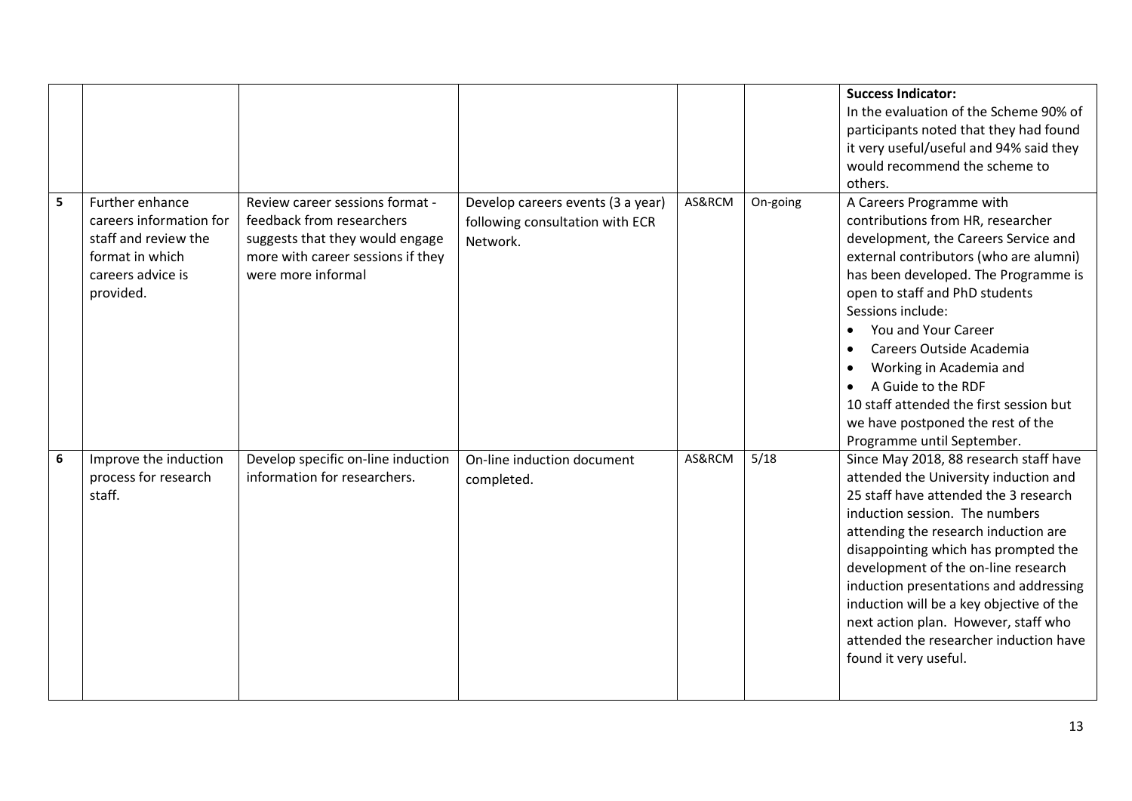|                  |                                                                                                                         |                                                                                                                                                            |                                                                                  |        |          | <b>Success Indicator:</b><br>In the evaluation of the Scheme 90% of<br>participants noted that they had found<br>it very useful/useful and 94% said they<br>would recommend the scheme to<br>others.                                                                                                                                                                                                                                                                               |
|------------------|-------------------------------------------------------------------------------------------------------------------------|------------------------------------------------------------------------------------------------------------------------------------------------------------|----------------------------------------------------------------------------------|--------|----------|------------------------------------------------------------------------------------------------------------------------------------------------------------------------------------------------------------------------------------------------------------------------------------------------------------------------------------------------------------------------------------------------------------------------------------------------------------------------------------|
| 5                | Further enhance<br>careers information for<br>staff and review the<br>format in which<br>careers advice is<br>provided. | Review career sessions format -<br>feedback from researchers<br>suggests that they would engage<br>more with career sessions if they<br>were more informal | Develop careers events (3 a year)<br>following consultation with ECR<br>Network. | AS&RCM | On-going | A Careers Programme with<br>contributions from HR, researcher<br>development, the Careers Service and<br>external contributors (who are alumni)<br>has been developed. The Programme is<br>open to staff and PhD students<br>Sessions include:<br>You and Your Career<br>Careers Outside Academia<br>Working in Academia and<br>$\bullet$<br>A Guide to the RDF<br>10 staff attended the first session but<br>we have postponed the rest of the<br>Programme until September.      |
| $\boldsymbol{6}$ | Improve the induction<br>process for research<br>staff.                                                                 | Develop specific on-line induction<br>information for researchers.                                                                                         | On-line induction document<br>completed.                                         | AS&RCM | 5/18     | Since May 2018, 88 research staff have<br>attended the University induction and<br>25 staff have attended the 3 research<br>induction session. The numbers<br>attending the research induction are<br>disappointing which has prompted the<br>development of the on-line research<br>induction presentations and addressing<br>induction will be a key objective of the<br>next action plan. However, staff who<br>attended the researcher induction have<br>found it very useful. |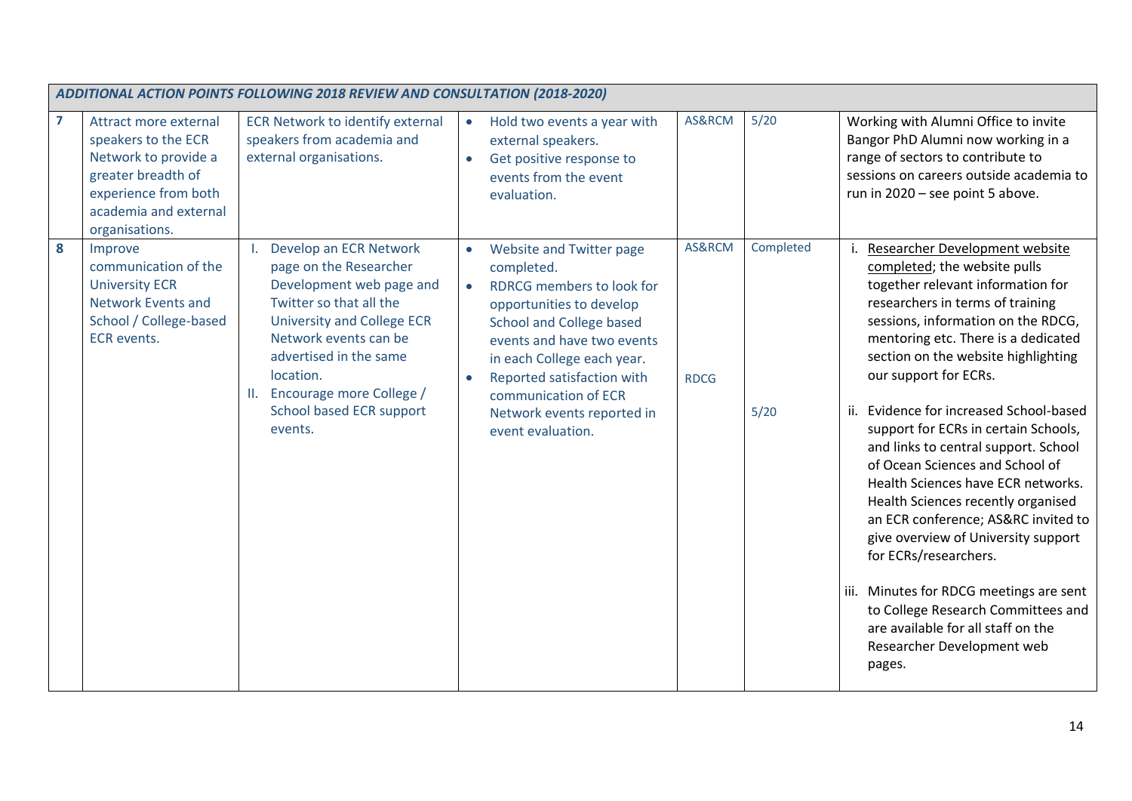|                | ADDITIONAL ACTION POINTS FOLLOWING 2018 REVIEW AND CONSULTATION (2018-2020)                                                                                   |                                                                                                                                                                                                                                                                                 |                                                                                                                                                                                                                                                                                                                                                                                                                                                                                                                                                                                                                                                                                                                                                                                                                                                                                                                                                                                                                                                                                                                                                                                           |  |  |
|----------------|---------------------------------------------------------------------------------------------------------------------------------------------------------------|---------------------------------------------------------------------------------------------------------------------------------------------------------------------------------------------------------------------------------------------------------------------------------|-------------------------------------------------------------------------------------------------------------------------------------------------------------------------------------------------------------------------------------------------------------------------------------------------------------------------------------------------------------------------------------------------------------------------------------------------------------------------------------------------------------------------------------------------------------------------------------------------------------------------------------------------------------------------------------------------------------------------------------------------------------------------------------------------------------------------------------------------------------------------------------------------------------------------------------------------------------------------------------------------------------------------------------------------------------------------------------------------------------------------------------------------------------------------------------------|--|--|
| $\overline{7}$ | Attract more external<br>speakers to the ECR<br>Network to provide a<br>greater breadth of<br>experience from both<br>academia and external<br>organisations. | <b>ECR Network to identify external</b><br>speakers from academia and<br>external organisations.                                                                                                                                                                                | AS&RCM<br>$5/20$<br>Working with Alumni Office to invite<br>Hold two events a year with<br>$\bullet$<br>Bangor PhD Alumni now working in a<br>external speakers.<br>range of sectors to contribute to<br>Get positive response to<br>$\bullet$<br>sessions on careers outside academia to<br>events from the event<br>run in 2020 - see point 5 above.<br>evaluation.                                                                                                                                                                                                                                                                                                                                                                                                                                                                                                                                                                                                                                                                                                                                                                                                                     |  |  |
| 8              | Improve<br>communication of the<br><b>University ECR</b><br><b>Network Events and</b><br>School / College-based<br><b>ECR</b> events.                         | Develop an ECR Network<br>page on the Researcher<br>Development web page and<br>Twitter so that all the<br><b>University and College ECR</b><br>Network events can be<br>advertised in the same<br>location.<br>Encourage more College /<br>School based ECR support<br>events. | Completed<br>AS&RCM<br>Researcher Development website<br>Website and Twitter page<br>$\bullet$<br>completed; the website pulls<br>completed.<br>together relevant information for<br>RDRCG members to look for<br>$\bullet$<br>researchers in terms of training<br>opportunities to develop<br>sessions, information on the RDCG,<br><b>School and College based</b><br>mentoring etc. There is a dedicated<br>events and have two events<br>section on the website highlighting<br>in each College each year.<br>our support for ECRs.<br>Reported satisfaction with<br><b>RDCG</b><br>communication of ECR<br>ii. Evidence for increased School-based<br>$5/20$<br>Network events reported in<br>support for ECRs in certain Schools,<br>event evaluation.<br>and links to central support. School<br>of Ocean Sciences and School of<br>Health Sciences have ECR networks.<br>Health Sciences recently organised<br>an ECR conference; AS&RC invited to<br>give overview of University support<br>for ECRs/researchers.<br>iii. Minutes for RDCG meetings are sent<br>to College Research Committees and<br>are available for all staff on the<br>Researcher Development web<br>pages. |  |  |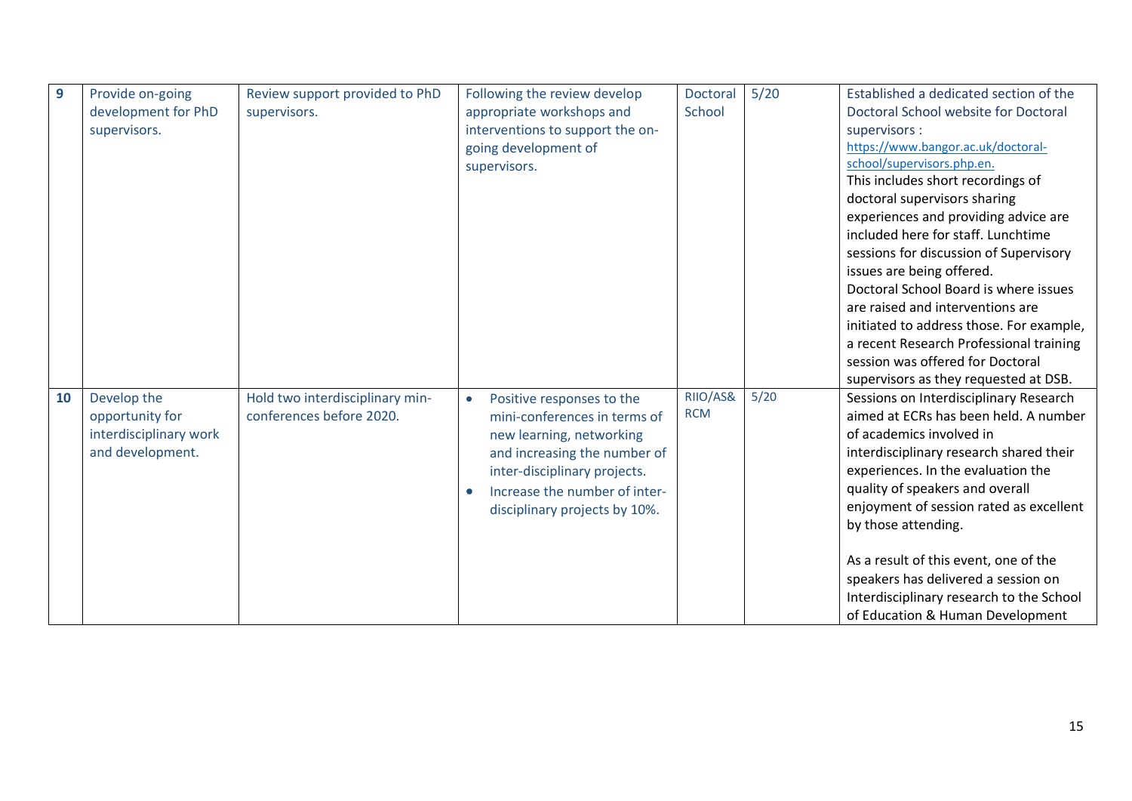| 9  | Provide on-going       | Review support provided to PhD  | Following the review develop               | <b>Doctoral</b> | $5/20$ | Established a dedicated section of the   |
|----|------------------------|---------------------------------|--------------------------------------------|-----------------|--------|------------------------------------------|
|    | development for PhD    | supervisors.                    | appropriate workshops and                  | School          |        | Doctoral School website for Doctoral     |
|    | supervisors.           |                                 | interventions to support the on-           |                 |        | supervisors :                            |
|    |                        |                                 | going development of                       |                 |        | https://www.bangor.ac.uk/doctoral-       |
|    |                        |                                 | supervisors.                               |                 |        | school/supervisors.php.en.               |
|    |                        |                                 |                                            |                 |        | This includes short recordings of        |
|    |                        |                                 |                                            |                 |        | doctoral supervisors sharing             |
|    |                        |                                 |                                            |                 |        | experiences and providing advice are     |
|    |                        |                                 |                                            |                 |        | included here for staff. Lunchtime       |
|    |                        |                                 |                                            |                 |        | sessions for discussion of Supervisory   |
|    |                        |                                 |                                            |                 |        | issues are being offered.                |
|    |                        |                                 |                                            |                 |        | Doctoral School Board is where issues    |
|    |                        |                                 |                                            |                 |        | are raised and interventions are         |
|    |                        |                                 |                                            |                 |        | initiated to address those. For example, |
|    |                        |                                 |                                            |                 |        | a recent Research Professional training  |
|    |                        |                                 |                                            |                 |        | session was offered for Doctoral         |
|    |                        |                                 |                                            |                 |        | supervisors as they requested at DSB.    |
| 10 | Develop the            | Hold two interdisciplinary min- | Positive responses to the<br>$\bullet$     | RIIO/AS&        | $5/20$ | Sessions on Interdisciplinary Research   |
|    | opportunity for        | conferences before 2020.        | mini-conferences in terms of               | <b>RCM</b>      |        | aimed at ECRs has been held. A number    |
|    | interdisciplinary work |                                 | new learning, networking                   |                 |        | of academics involved in                 |
|    | and development.       |                                 | and increasing the number of               |                 |        | interdisciplinary research shared their  |
|    |                        |                                 | inter-disciplinary projects.               |                 |        | experiences. In the evaluation the       |
|    |                        |                                 | Increase the number of inter-<br>$\bullet$ |                 |        | quality of speakers and overall          |
|    |                        |                                 | disciplinary projects by 10%.              |                 |        | enjoyment of session rated as excellent  |
|    |                        |                                 |                                            |                 |        | by those attending.                      |
|    |                        |                                 |                                            |                 |        |                                          |
|    |                        |                                 |                                            |                 |        | As a result of this event, one of the    |
|    |                        |                                 |                                            |                 |        | speakers has delivered a session on      |
|    |                        |                                 |                                            |                 |        | Interdisciplinary research to the School |
|    |                        |                                 |                                            |                 |        | of Education & Human Development         |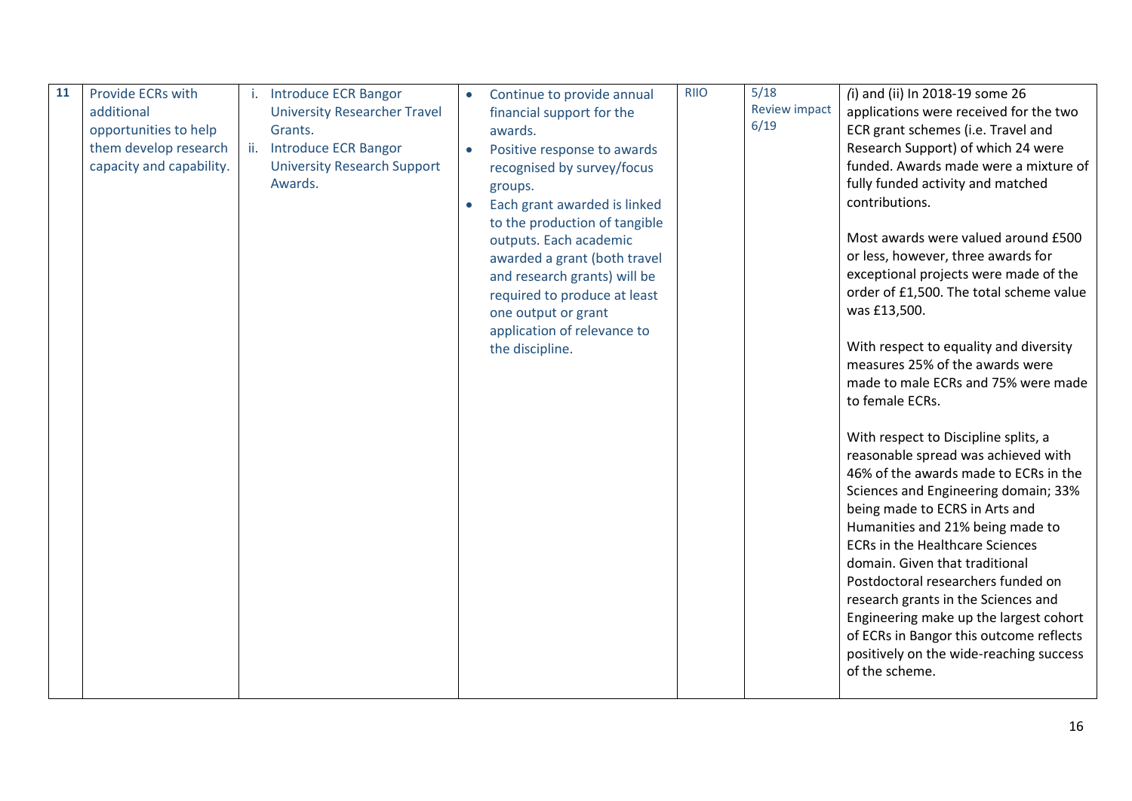| 11 | <b>Provide ECRs with</b> |     | <b>Introduce ECR Bangor</b>         |           | Continue to provide annual    | <b>RIIO</b> | 5/18                 | (i) and (ii) In 2018-19 some 26         |
|----|--------------------------|-----|-------------------------------------|-----------|-------------------------------|-------------|----------------------|-----------------------------------------|
|    | additional               |     | <b>University Researcher Travel</b> |           | financial support for the     |             | <b>Review impact</b> | applications were received for the two  |
|    | opportunities to help    |     | Grants.                             |           | awards.                       |             | 6/19                 | ECR grant schemes (i.e. Travel and      |
|    | them develop research    | ii. | <b>Introduce ECR Bangor</b>         |           | Positive response to awards   |             |                      | Research Support) of which 24 were      |
|    | capacity and capability. |     | <b>University Research Support</b>  |           | recognised by survey/focus    |             |                      | funded. Awards made were a mixture of   |
|    |                          |     | Awards.                             |           | groups.                       |             |                      | fully funded activity and matched       |
|    |                          |     |                                     | $\bullet$ | Each grant awarded is linked  |             |                      | contributions.                          |
|    |                          |     |                                     |           | to the production of tangible |             |                      |                                         |
|    |                          |     |                                     |           | outputs. Each academic        |             |                      | Most awards were valued around £500     |
|    |                          |     |                                     |           | awarded a grant (both travel  |             |                      | or less, however, three awards for      |
|    |                          |     |                                     |           | and research grants) will be  |             |                      | exceptional projects were made of the   |
|    |                          |     |                                     |           | required to produce at least  |             |                      | order of £1,500. The total scheme value |
|    |                          |     |                                     |           | one output or grant           |             |                      | was £13,500.                            |
|    |                          |     |                                     |           | application of relevance to   |             |                      |                                         |
|    |                          |     |                                     |           | the discipline.               |             |                      | With respect to equality and diversity  |
|    |                          |     |                                     |           |                               |             |                      | measures 25% of the awards were         |
|    |                          |     |                                     |           |                               |             |                      | made to male ECRs and 75% were made     |
|    |                          |     |                                     |           |                               |             |                      | to female ECRs.                         |
|    |                          |     |                                     |           |                               |             |                      |                                         |
|    |                          |     |                                     |           |                               |             |                      | With respect to Discipline splits, a    |
|    |                          |     |                                     |           |                               |             |                      | reasonable spread was achieved with     |
|    |                          |     |                                     |           |                               |             |                      | 46% of the awards made to ECRs in the   |
|    |                          |     |                                     |           |                               |             |                      | Sciences and Engineering domain; 33%    |
|    |                          |     |                                     |           |                               |             |                      | being made to ECRS in Arts and          |
|    |                          |     |                                     |           |                               |             |                      | Humanities and 21% being made to        |
|    |                          |     |                                     |           |                               |             |                      | <b>ECRs in the Healthcare Sciences</b>  |
|    |                          |     |                                     |           |                               |             |                      | domain. Given that traditional          |
|    |                          |     |                                     |           |                               |             |                      | Postdoctoral researchers funded on      |
|    |                          |     |                                     |           |                               |             |                      | research grants in the Sciences and     |
|    |                          |     |                                     |           |                               |             |                      | Engineering make up the largest cohort  |
|    |                          |     |                                     |           |                               |             |                      | of ECRs in Bangor this outcome reflects |
|    |                          |     |                                     |           |                               |             |                      | positively on the wide-reaching success |
|    |                          |     |                                     |           |                               |             |                      | of the scheme.                          |
|    |                          |     |                                     |           |                               |             |                      |                                         |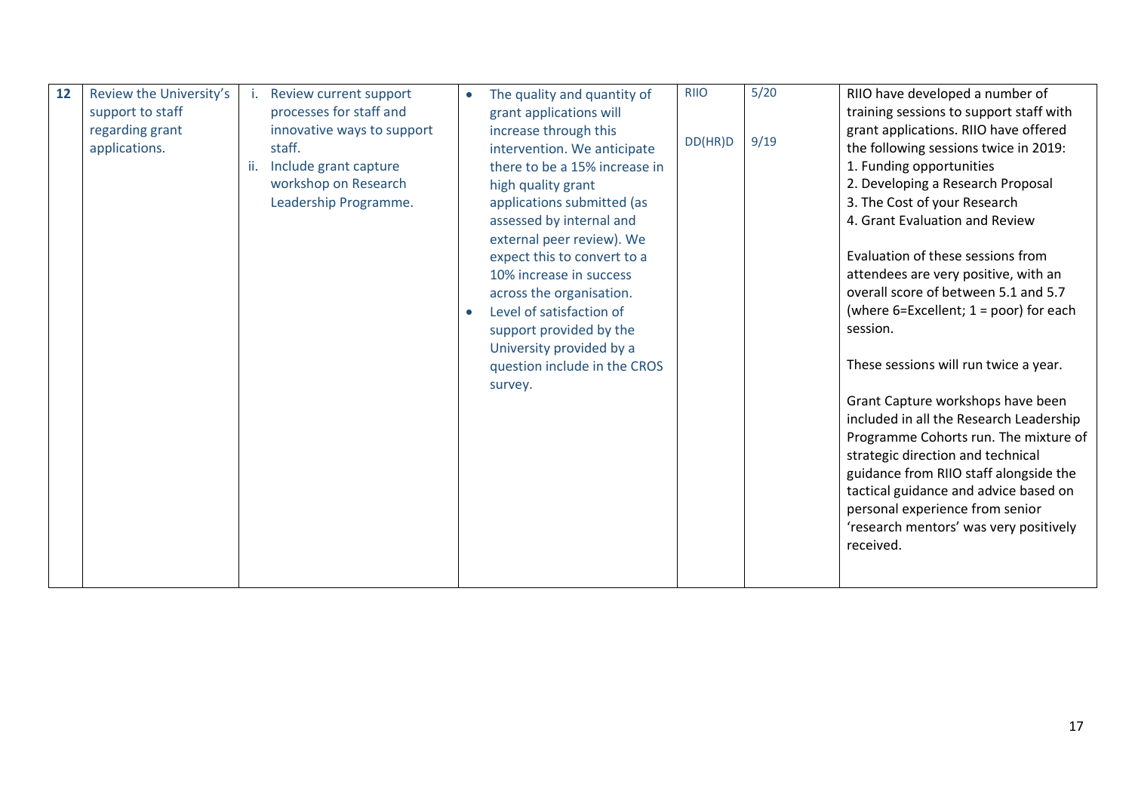| 12 | Review the University's<br>support to staff<br>regarding grant<br>applications. | Review current support<br>processes for staff and<br>innovative ways to support<br>staff.<br>Include grant capture<br>workshop on Research | The quality and quantity of<br>grant applications will<br>increase through this<br>intervention. We anticipate<br>there to be a 15% increase in<br>high quality grant | <b>RIIO</b><br>DD(HR)D | $5/20$<br>9/19 | RIIO have developed a number of<br>training sessions to support staff with<br>grant applications. RIIO have offered<br>the following sessions twice in 2019:<br>1. Funding opportunities<br>2. Developing a Research Proposal                                                                                                           |
|----|---------------------------------------------------------------------------------|--------------------------------------------------------------------------------------------------------------------------------------------|-----------------------------------------------------------------------------------------------------------------------------------------------------------------------|------------------------|----------------|-----------------------------------------------------------------------------------------------------------------------------------------------------------------------------------------------------------------------------------------------------------------------------------------------------------------------------------------|
|    |                                                                                 | Leadership Programme.                                                                                                                      | applications submitted (as<br>assessed by internal and<br>external peer review). We<br>expect this to convert to a                                                    |                        |                | 3. The Cost of your Research<br>4. Grant Evaluation and Review<br>Evaluation of these sessions from                                                                                                                                                                                                                                     |
|    |                                                                                 |                                                                                                                                            | 10% increase in success<br>across the organisation.<br>Level of satisfaction of<br>support provided by the                                                            |                        |                | attendees are very positive, with an<br>overall score of between 5.1 and 5.7<br>(where $6=$ Excellent; $1 =$ poor) for each<br>session.                                                                                                                                                                                                 |
|    |                                                                                 |                                                                                                                                            | University provided by a<br>question include in the CROS<br>survey.                                                                                                   |                        |                | These sessions will run twice a year.                                                                                                                                                                                                                                                                                                   |
|    |                                                                                 |                                                                                                                                            |                                                                                                                                                                       |                        |                | Grant Capture workshops have been<br>included in all the Research Leadership<br>Programme Cohorts run. The mixture of<br>strategic direction and technical<br>guidance from RIIO staff alongside the<br>tactical guidance and advice based on<br>personal experience from senior<br>'research mentors' was very positively<br>received. |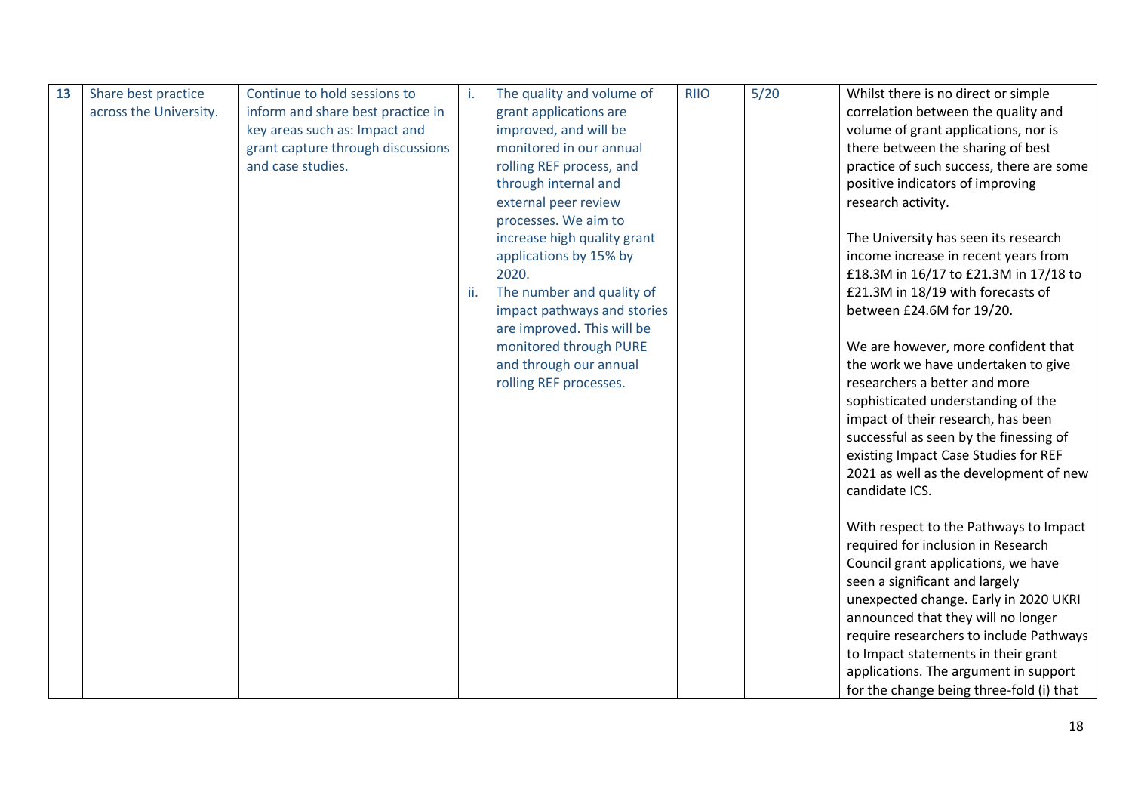| 13 | Share best practice    | Continue to hold sessions to      | i.  | The quality and volume of   | <b>RIIO</b> | $5/20$ | Whilst there is no direct or simple      |
|----|------------------------|-----------------------------------|-----|-----------------------------|-------------|--------|------------------------------------------|
|    | across the University. | inform and share best practice in |     | grant applications are      |             |        | correlation between the quality and      |
|    |                        | key areas such as: Impact and     |     | improved, and will be       |             |        | volume of grant applications, nor is     |
|    |                        | grant capture through discussions |     | monitored in our annual     |             |        | there between the sharing of best        |
|    |                        | and case studies.                 |     | rolling REF process, and    |             |        | practice of such success, there are some |
|    |                        |                                   |     | through internal and        |             |        | positive indicators of improving         |
|    |                        |                                   |     | external peer review        |             |        | research activity.                       |
|    |                        |                                   |     | processes. We aim to        |             |        |                                          |
|    |                        |                                   |     | increase high quality grant |             |        | The University has seen its research     |
|    |                        |                                   |     | applications by 15% by      |             |        | income increase in recent years from     |
|    |                        |                                   |     | 2020.                       |             |        | £18.3M in 16/17 to £21.3M in 17/18 to    |
|    |                        |                                   | ii. | The number and quality of   |             |        | £21.3M in 18/19 with forecasts of        |
|    |                        |                                   |     | impact pathways and stories |             |        | between £24.6M for 19/20.                |
|    |                        |                                   |     | are improved. This will be  |             |        |                                          |
|    |                        |                                   |     | monitored through PURE      |             |        | We are however, more confident that      |
|    |                        |                                   |     | and through our annual      |             |        | the work we have undertaken to give      |
|    |                        |                                   |     | rolling REF processes.      |             |        | researchers a better and more            |
|    |                        |                                   |     |                             |             |        | sophisticated understanding of the       |
|    |                        |                                   |     |                             |             |        | impact of their research, has been       |
|    |                        |                                   |     |                             |             |        | successful as seen by the finessing of   |
|    |                        |                                   |     |                             |             |        | existing Impact Case Studies for REF     |
|    |                        |                                   |     |                             |             |        | 2021 as well as the development of new   |
|    |                        |                                   |     |                             |             |        | candidate ICS.                           |
|    |                        |                                   |     |                             |             |        |                                          |
|    |                        |                                   |     |                             |             |        | With respect to the Pathways to Impact   |
|    |                        |                                   |     |                             |             |        | required for inclusion in Research       |
|    |                        |                                   |     |                             |             |        | Council grant applications, we have      |
|    |                        |                                   |     |                             |             |        | seen a significant and largely           |
|    |                        |                                   |     |                             |             |        | unexpected change. Early in 2020 UKRI    |
|    |                        |                                   |     |                             |             |        | announced that they will no longer       |
|    |                        |                                   |     |                             |             |        | require researchers to include Pathways  |
|    |                        |                                   |     |                             |             |        | to Impact statements in their grant      |
|    |                        |                                   |     |                             |             |        | applications. The argument in support    |
|    |                        |                                   |     |                             |             |        | for the change being three-fold (i) that |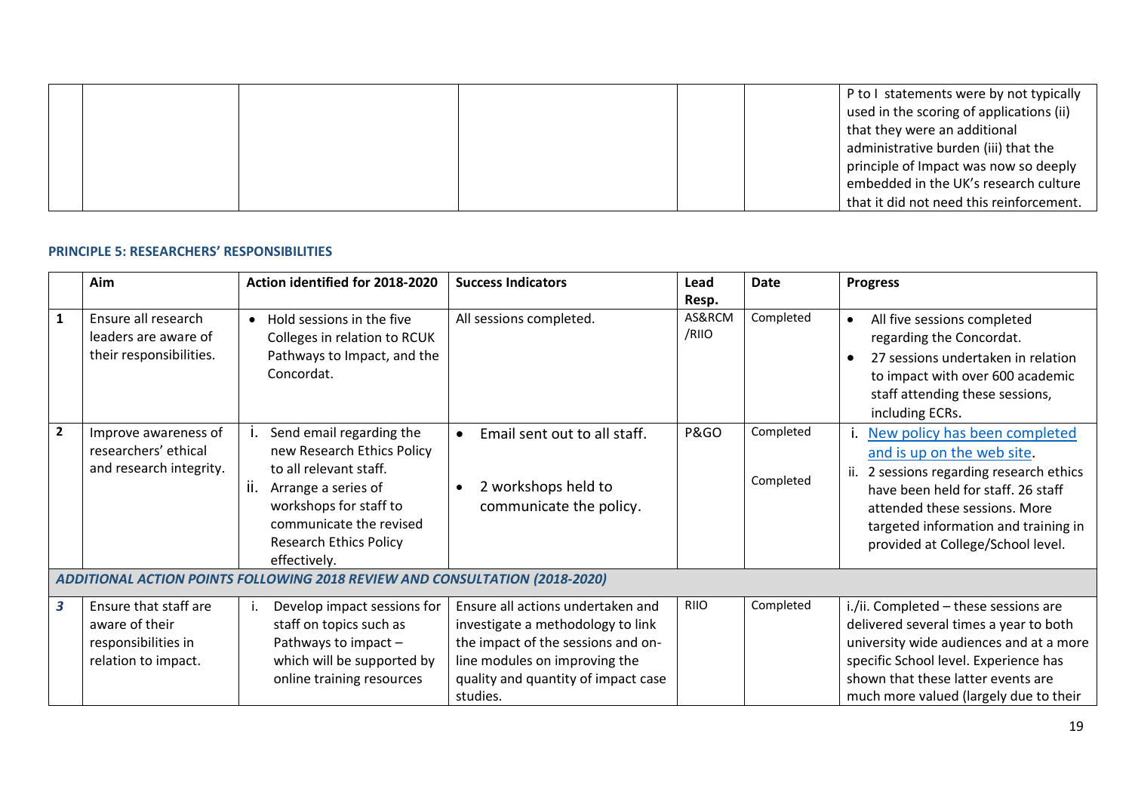|  |  | P to I statements were by not typically  |
|--|--|------------------------------------------|
|  |  | used in the scoring of applications (ii) |
|  |  | that they were an additional             |
|  |  | administrative burden (iii) that the     |
|  |  | principle of Impact was now so deeply    |
|  |  | embedded in the UK's research culture    |
|  |  | that it did not need this reinforcement. |

#### **PRINCIPLE 5: RESEARCHERS' RESPONSIBILITIES**

|                         | Aim                                                                                   | Action identified for 2018-2020                                                                                                                                                                                     | <b>Success Indicators</b>                                                                                                                                                                        | Lead<br>Resp.   | <b>Date</b>            | <b>Progress</b>                                                                                                                                                                                                                                                |
|-------------------------|---------------------------------------------------------------------------------------|---------------------------------------------------------------------------------------------------------------------------------------------------------------------------------------------------------------------|--------------------------------------------------------------------------------------------------------------------------------------------------------------------------------------------------|-----------------|------------------------|----------------------------------------------------------------------------------------------------------------------------------------------------------------------------------------------------------------------------------------------------------------|
| $\mathbf{1}$            | Ensure all research<br>leaders are aware of<br>their responsibilities.                | Hold sessions in the five<br>$\bullet$<br>Colleges in relation to RCUK<br>Pathways to Impact, and the<br>Concordat.                                                                                                 | All sessions completed.                                                                                                                                                                          | AS&RCM<br>/RIIO | Completed              | All five sessions completed<br>regarding the Concordat.<br>27 sessions undertaken in relation<br>to impact with over 600 academic<br>staff attending these sessions,<br>including ECRs.                                                                        |
| $\mathbf{2}$            | Improve awareness of<br>researchers' ethical<br>and research integrity.               | Send email regarding the<br>new Research Ethics Policy<br>to all relevant staff.<br>Ш.<br>Arrange a series of<br>workshops for staff to<br>communicate the revised<br><b>Research Ethics Policy</b><br>effectively. | Email sent out to all staff.<br>2 workshops held to<br>communicate the policy.                                                                                                                   | <b>P&amp;GO</b> | Completed<br>Completed | New policy has been completed<br>and is up on the web site.<br>2 sessions regarding research ethics<br>ii.<br>have been held for staff. 26 staff<br>attended these sessions. More<br>targeted information and training in<br>provided at College/School level. |
|                         |                                                                                       | ADDITIONAL ACTION POINTS FOLLOWING 2018 REVIEW AND CONSULTATION (2018-2020)                                                                                                                                         |                                                                                                                                                                                                  |                 |                        |                                                                                                                                                                                                                                                                |
| $\overline{\mathbf{3}}$ | Ensure that staff are<br>aware of their<br>responsibilities in<br>relation to impact. | Develop impact sessions for<br>staff on topics such as<br>Pathways to impact -<br>which will be supported by<br>online training resources                                                                           | Ensure all actions undertaken and<br>investigate a methodology to link<br>the impact of the sessions and on-<br>line modules on improving the<br>quality and quantity of impact case<br>studies. | <b>RIIO</b>     | Completed              | i./ii. Completed - these sessions are<br>delivered several times a year to both<br>university wide audiences and at a more<br>specific School level. Experience has<br>shown that these latter events are<br>much more valued (largely due to their            |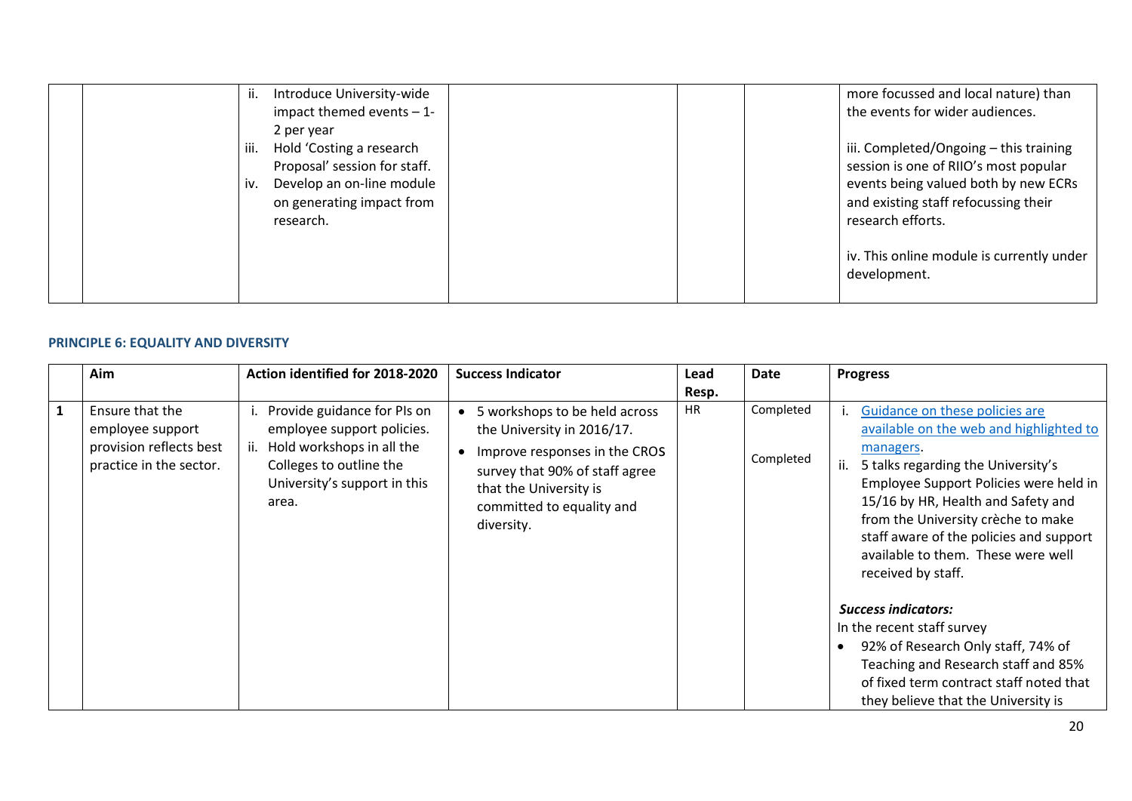| Introduce University-wide<br>$\mathbf{II}$ . | more focussed and local nature) than      |
|----------------------------------------------|-------------------------------------------|
| impact themed events $-1$ -                  | the events for wider audiences.           |
| 2 per year                                   |                                           |
| Hold 'Costing a research<br>iii.             | iii. Completed/Ongoing - this training    |
| Proposal' session for staff.                 | session is one of RIIO's most popular     |
| Develop an on-line module<br>iv.             | events being valued both by new ECRs      |
| on generating impact from                    | and existing staff refocussing their      |
| research.                                    | research efforts.                         |
|                                              |                                           |
|                                              | iv. This online module is currently under |
|                                              | development.                              |
|                                              |                                           |

#### **PRINCIPLE 6: EQUALITY AND DIVERSITY**

| Aim                                                                                       | Action identified for 2018-2020                                                                                                                                   | <b>Success Indicator</b>                                                                                                                                                                            | Lead               | Date                   | <b>Progress</b>                                                                                                                                                                                                                                                                                                                                                                                                                                                                                                                                                                             |
|-------------------------------------------------------------------------------------------|-------------------------------------------------------------------------------------------------------------------------------------------------------------------|-----------------------------------------------------------------------------------------------------------------------------------------------------------------------------------------------------|--------------------|------------------------|---------------------------------------------------------------------------------------------------------------------------------------------------------------------------------------------------------------------------------------------------------------------------------------------------------------------------------------------------------------------------------------------------------------------------------------------------------------------------------------------------------------------------------------------------------------------------------------------|
| Ensure that the<br>employee support<br>provision reflects best<br>practice in the sector. | Provide guidance for PIs on<br>employee support policies.<br>Hold workshops in all the<br>ii.<br>Colleges to outline the<br>University's support in this<br>area. | 5 workshops to be held across<br>the University in 2016/17.<br>Improve responses in the CROS<br>survey that 90% of staff agree<br>that the University is<br>committed to equality and<br>diversity. | Resp.<br><b>HR</b> | Completed<br>Completed | Guidance on these policies are<br>available on the web and highlighted to<br>managers.<br>ii.<br>5 talks regarding the University's<br>Employee Support Policies were held in<br>15/16 by HR, Health and Safety and<br>from the University crèche to make<br>staff aware of the policies and support<br>available to them. These were well<br>received by staff.<br><b>Success indicators:</b><br>In the recent staff survey<br>92% of Research Only staff, 74% of<br>Teaching and Research staff and 85%<br>of fixed term contract staff noted that<br>they believe that the University is |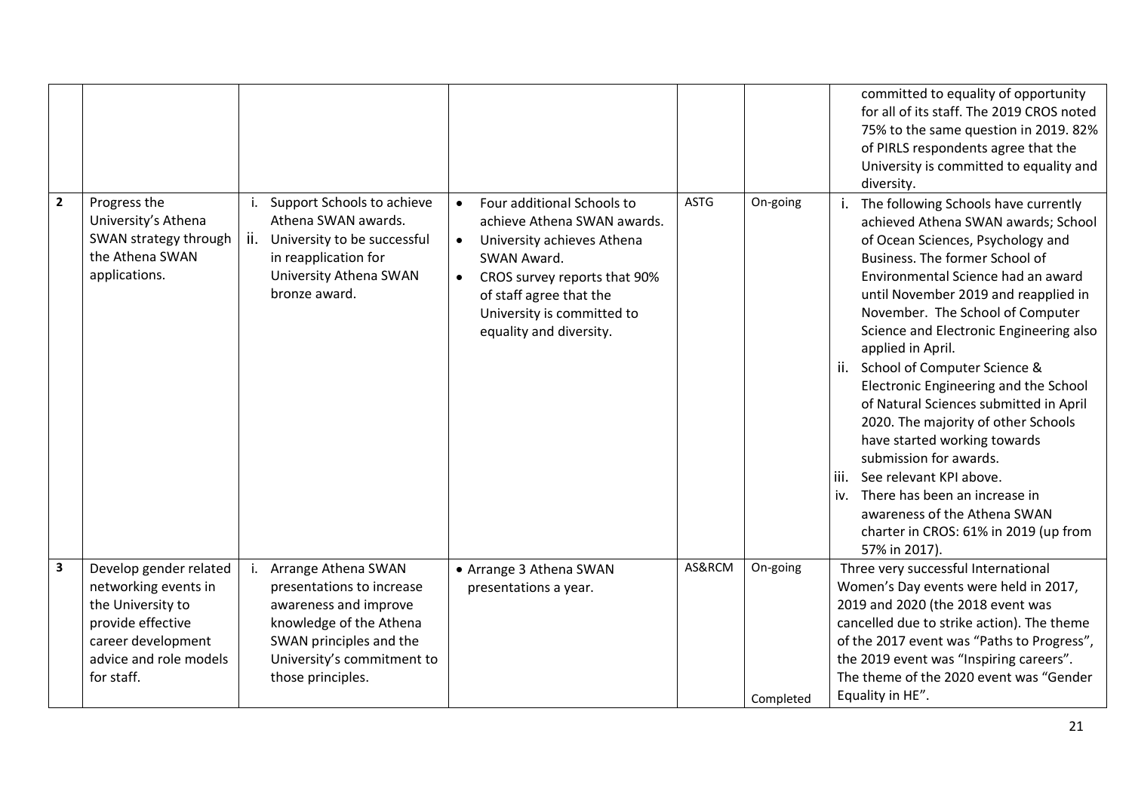|                         |                                                                                                                                                        |                                                                                                                                                                                          |                                                                                                                                                                                                                                                                   |             |                       | committed to equality of opportunity<br>for all of its staff. The 2019 CROS noted<br>75% to the same question in 2019. 82%<br>of PIRLS respondents agree that the<br>University is committed to equality and<br>diversity.                                                                                                                                                                                                                                                                                                                                                                                                                                                                                                            |
|-------------------------|--------------------------------------------------------------------------------------------------------------------------------------------------------|------------------------------------------------------------------------------------------------------------------------------------------------------------------------------------------|-------------------------------------------------------------------------------------------------------------------------------------------------------------------------------------------------------------------------------------------------------------------|-------------|-----------------------|---------------------------------------------------------------------------------------------------------------------------------------------------------------------------------------------------------------------------------------------------------------------------------------------------------------------------------------------------------------------------------------------------------------------------------------------------------------------------------------------------------------------------------------------------------------------------------------------------------------------------------------------------------------------------------------------------------------------------------------|
| $\overline{2}$          | Progress the<br>University's Athena<br>SWAN strategy through<br>the Athena SWAN<br>applications.                                                       | Support Schools to achieve<br>j.<br>Athena SWAN awards.<br>ii.<br>University to be successful<br>in reapplication for<br>University Athena SWAN<br>bronze award.                         | Four additional Schools to<br>$\bullet$<br>achieve Athena SWAN awards.<br>University achieves Athena<br>$\bullet$<br>SWAN Award.<br>CROS survey reports that 90%<br>$\bullet$<br>of staff agree that the<br>University is committed to<br>equality and diversity. | <b>ASTG</b> | On-going              | The following Schools have currently<br>achieved Athena SWAN awards; School<br>of Ocean Sciences, Psychology and<br>Business. The former School of<br>Environmental Science had an award<br>until November 2019 and reapplied in<br>November. The School of Computer<br>Science and Electronic Engineering also<br>applied in April.<br>School of Computer Science &<br>ii.<br>Electronic Engineering and the School<br>of Natural Sciences submitted in April<br>2020. The majority of other Schools<br>have started working towards<br>submission for awards.<br>See relevant KPI above.<br>liii.<br>There has been an increase in<br>iv.<br>awareness of the Athena SWAN<br>charter in CROS: 61% in 2019 (up from<br>57% in 2017). |
| $\overline{\mathbf{3}}$ | Develop gender related<br>networking events in<br>the University to<br>provide effective<br>career development<br>advice and role models<br>for staff. | Arrange Athena SWAN<br>j.<br>presentations to increase<br>awareness and improve<br>knowledge of the Athena<br>SWAN principles and the<br>University's commitment to<br>those principles. | • Arrange 3 Athena SWAN<br>presentations a year.                                                                                                                                                                                                                  | AS&RCM      | On-going<br>Completed | Three very successful International<br>Women's Day events were held in 2017,<br>2019 and 2020 (the 2018 event was<br>cancelled due to strike action). The theme<br>of the 2017 event was "Paths to Progress",<br>the 2019 event was "Inspiring careers".<br>The theme of the 2020 event was "Gender<br>Equality in HE".                                                                                                                                                                                                                                                                                                                                                                                                               |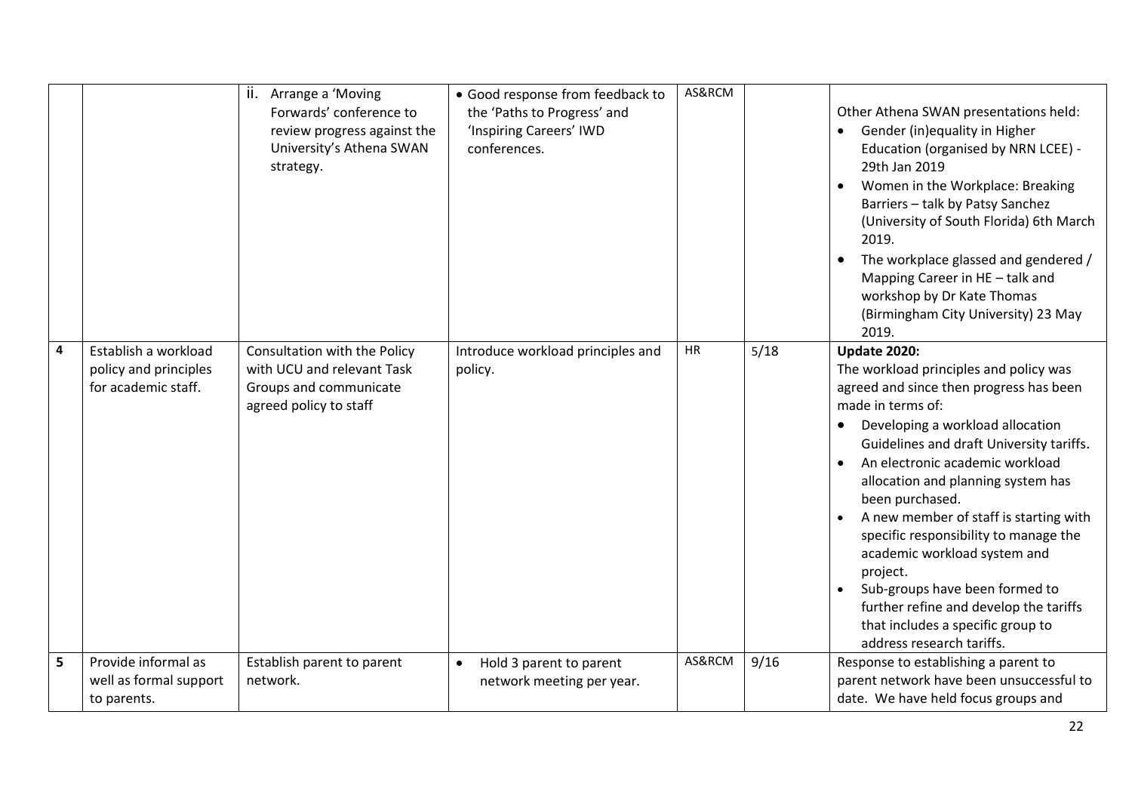|   |                                                                      | ii. Arrange a 'Moving<br>Forwards' conference to<br>review progress against the<br>University's Athena SWAN<br>strategy. | • Good response from feedback to<br>the 'Paths to Progress' and<br>'Inspiring Careers' IWD<br>conferences. | AS&RCM |      | Other Athena SWAN presentations held:<br>Gender (in)equality in Higher<br>Education (organised by NRN LCEE) -<br>29th Jan 2019<br>Women in the Workplace: Breaking<br>Barriers - talk by Patsy Sanchez<br>(University of South Florida) 6th March<br>2019.<br>The workplace glassed and gendered /<br>Mapping Career in HE - talk and<br>workshop by Dr Kate Thomas<br>(Birmingham City University) 23 May<br>2019.                                                                                                                                                                                 |
|---|----------------------------------------------------------------------|--------------------------------------------------------------------------------------------------------------------------|------------------------------------------------------------------------------------------------------------|--------|------|-----------------------------------------------------------------------------------------------------------------------------------------------------------------------------------------------------------------------------------------------------------------------------------------------------------------------------------------------------------------------------------------------------------------------------------------------------------------------------------------------------------------------------------------------------------------------------------------------------|
| 4 | Establish a workload<br>policy and principles<br>for academic staff. | Consultation with the Policy<br>with UCU and relevant Task<br>Groups and communicate<br>agreed policy to staff           | Introduce workload principles and<br>policy.                                                               | HR     | 5/18 | <b>Update 2020:</b><br>The workload principles and policy was<br>agreed and since then progress has been<br>made in terms of:<br>Developing a workload allocation<br>Guidelines and draft University tariffs.<br>An electronic academic workload<br>allocation and planning system has<br>been purchased.<br>A new member of staff is starting with<br>specific responsibility to manage the<br>academic workload system and<br>project.<br>Sub-groups have been formed to<br>$\bullet$<br>further refine and develop the tariffs<br>that includes a specific group to<br>address research tariffs. |
| 5 | Provide informal as<br>well as formal support<br>to parents.         | Establish parent to parent<br>network.                                                                                   | Hold 3 parent to parent<br>$\bullet$<br>network meeting per year.                                          | AS&RCM | 9/16 | Response to establishing a parent to<br>parent network have been unsuccessful to<br>date. We have held focus groups and                                                                                                                                                                                                                                                                                                                                                                                                                                                                             |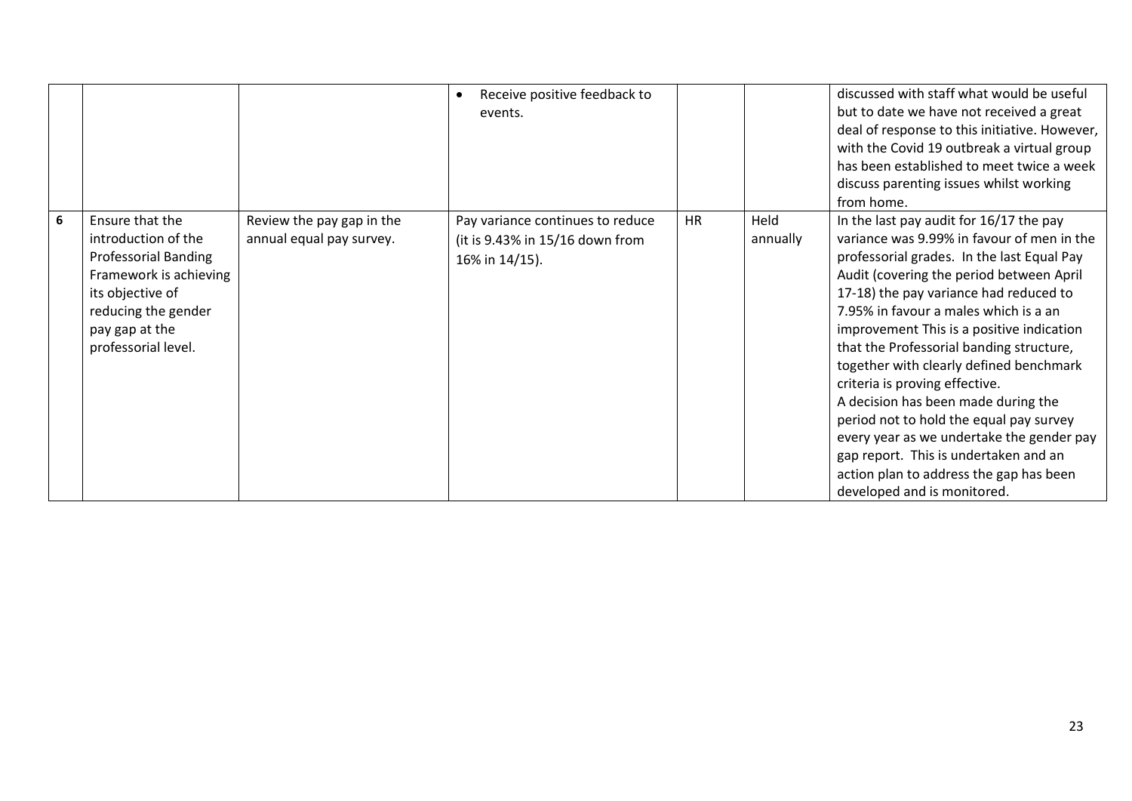|   |                                                                                                                                                                                     |                                                       | Receive positive feedback to<br>events.                                               |           |                  | discussed with staff what would be useful<br>but to date we have not received a great<br>deal of response to this initiative. However,<br>with the Covid 19 outbreak a virtual group<br>has been established to meet twice a week<br>discuss parenting issues whilst working<br>from home.                                                                                                                                                                                                                                                                                                                                                                                                 |
|---|-------------------------------------------------------------------------------------------------------------------------------------------------------------------------------------|-------------------------------------------------------|---------------------------------------------------------------------------------------|-----------|------------------|--------------------------------------------------------------------------------------------------------------------------------------------------------------------------------------------------------------------------------------------------------------------------------------------------------------------------------------------------------------------------------------------------------------------------------------------------------------------------------------------------------------------------------------------------------------------------------------------------------------------------------------------------------------------------------------------|
| 6 | Ensure that the<br>introduction of the<br><b>Professorial Banding</b><br>Framework is achieving<br>its objective of<br>reducing the gender<br>pay gap at the<br>professorial level. | Review the pay gap in the<br>annual equal pay survey. | Pay variance continues to reduce<br>(it is 9.43% in 15/16 down from<br>16% in 14/15). | <b>HR</b> | Held<br>annually | In the last pay audit for 16/17 the pay<br>variance was 9.99% in favour of men in the<br>professorial grades. In the last Equal Pay<br>Audit (covering the period between April<br>17-18) the pay variance had reduced to<br>7.95% in favour a males which is a an<br>improvement This is a positive indication<br>that the Professorial banding structure,<br>together with clearly defined benchmark<br>criteria is proving effective.<br>A decision has been made during the<br>period not to hold the equal pay survey<br>every year as we undertake the gender pay<br>gap report. This is undertaken and an<br>action plan to address the gap has been<br>developed and is monitored. |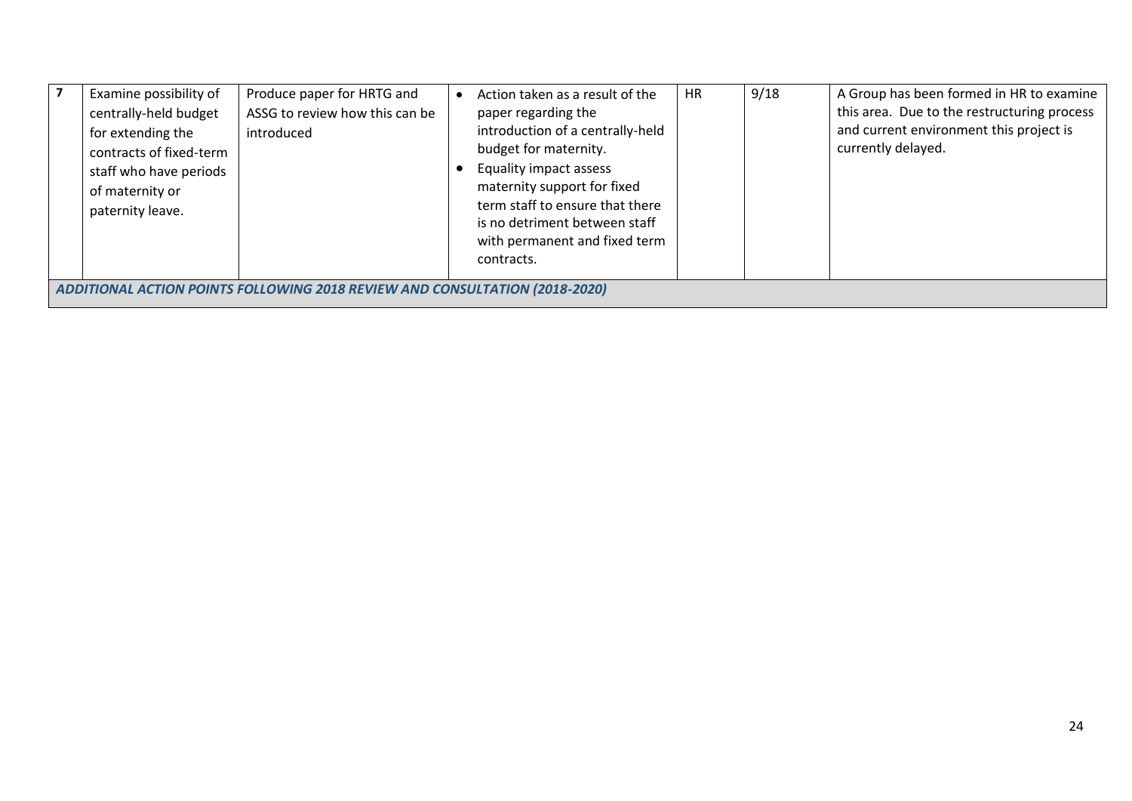| Examine possibility of<br>centrally-held budget<br>for extending the<br>contracts of fixed-term<br>staff who have periods<br>of maternity or<br>paternity leave. | Produce paper for HRTG and<br>ASSG to review how this can be<br>introduced |  | Action taken as a result of the<br>paper regarding the<br>introduction of a centrally-held<br>budget for maternity.<br>Equality impact assess<br>maternity support for fixed<br>term staff to ensure that there<br>is no detriment between staff<br>with permanent and fixed term<br>contracts. | <b>HR</b> | 9/18 | A Group has been formed in HR to examine<br>this area. Due to the restructuring process<br>and current environment this project is<br>currently delayed. |
|------------------------------------------------------------------------------------------------------------------------------------------------------------------|----------------------------------------------------------------------------|--|-------------------------------------------------------------------------------------------------------------------------------------------------------------------------------------------------------------------------------------------------------------------------------------------------|-----------|------|----------------------------------------------------------------------------------------------------------------------------------------------------------|
| ADDITIONAL ACTION POINTS FOLLOWING 2018 REVIEW AND CONSULTATION (2018-2020)                                                                                      |                                                                            |  |                                                                                                                                                                                                                                                                                                 |           |      |                                                                                                                                                          |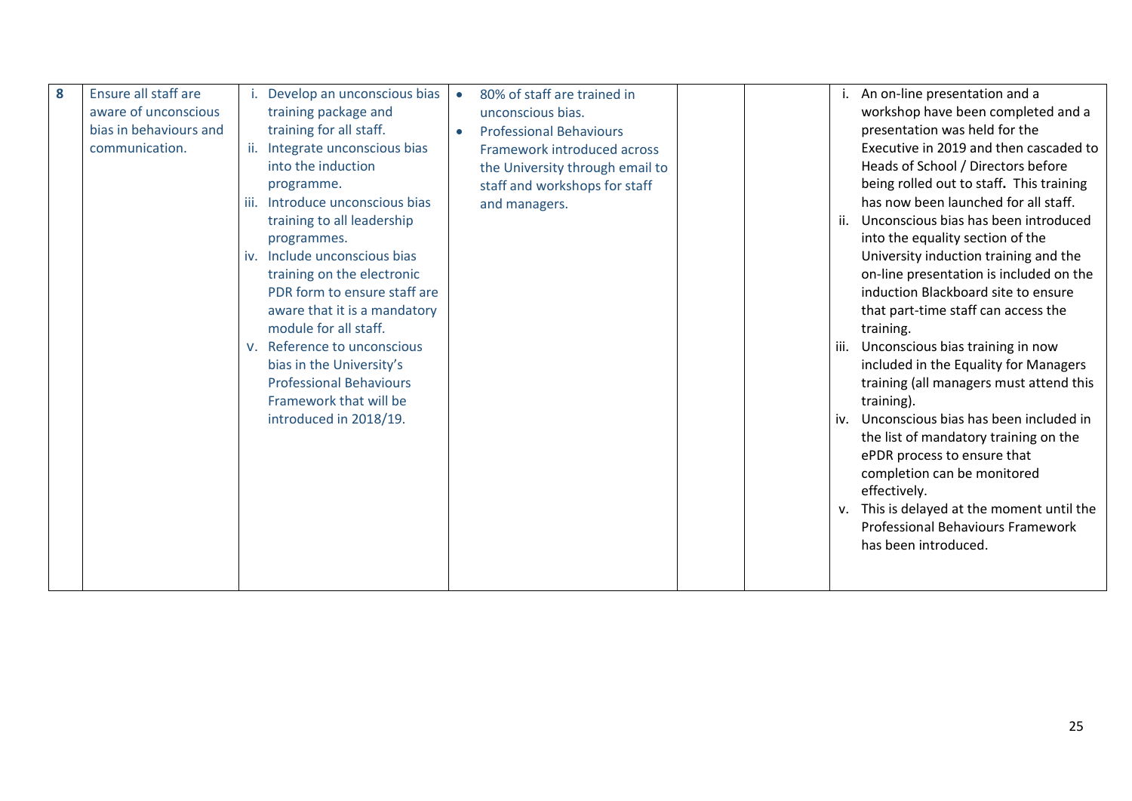| 8 | Ensure all staff are   | Develop an unconscious bias        |           | 80% of staff are trained in     |     | i. An on-line presentation and a              |
|---|------------------------|------------------------------------|-----------|---------------------------------|-----|-----------------------------------------------|
|   | aware of unconscious   | training package and               |           | unconscious bias.               |     | workshop have been completed and a            |
|   | bias in behaviours and | training for all staff.            | $\bullet$ | <b>Professional Behaviours</b>  |     | presentation was held for the                 |
|   | communication.         | Integrate unconscious bias         |           | Framework introduced across     |     | Executive in 2019 and then cascaded to        |
|   |                        | into the induction                 |           | the University through email to |     | Heads of School / Directors before            |
|   |                        | programme.                         |           | staff and workshops for staff   |     | being rolled out to staff. This training      |
|   |                        | Introduce unconscious bias<br>iii. |           | and managers.                   |     | has now been launched for all staff.          |
|   |                        | training to all leadership         |           |                                 | ii. | Unconscious bias has been introduced          |
|   |                        | programmes.                        |           |                                 |     | into the equality section of the              |
|   |                        | iv. Include unconscious bias       |           |                                 |     | University induction training and the         |
|   |                        | training on the electronic         |           |                                 |     | on-line presentation is included on the       |
|   |                        | PDR form to ensure staff are       |           |                                 |     | induction Blackboard site to ensure           |
|   |                        | aware that it is a mandatory       |           |                                 |     | that part-time staff can access the           |
|   |                        | module for all staff.              |           |                                 |     | training.                                     |
|   |                        | Reference to unconscious<br>V.     |           |                                 |     | iii. Unconscious bias training in now         |
|   |                        | bias in the University's           |           |                                 |     | included in the Equality for Managers         |
|   |                        | <b>Professional Behaviours</b>     |           |                                 |     | training (all managers must attend this       |
|   |                        | Framework that will be             |           |                                 |     | training).                                    |
|   |                        | introduced in 2018/19.             |           |                                 | iv. | Unconscious bias has been included in         |
|   |                        |                                    |           |                                 |     | the list of mandatory training on the         |
|   |                        |                                    |           |                                 |     | ePDR process to ensure that                   |
|   |                        |                                    |           |                                 |     | completion can be monitored                   |
|   |                        |                                    |           |                                 |     | effectively.                                  |
|   |                        |                                    |           |                                 |     | This is delayed at the moment until the<br>V. |
|   |                        |                                    |           |                                 |     | Professional Behaviours Framework             |
|   |                        |                                    |           |                                 |     | has been introduced.                          |
|   |                        |                                    |           |                                 |     |                                               |
|   |                        |                                    |           |                                 |     |                                               |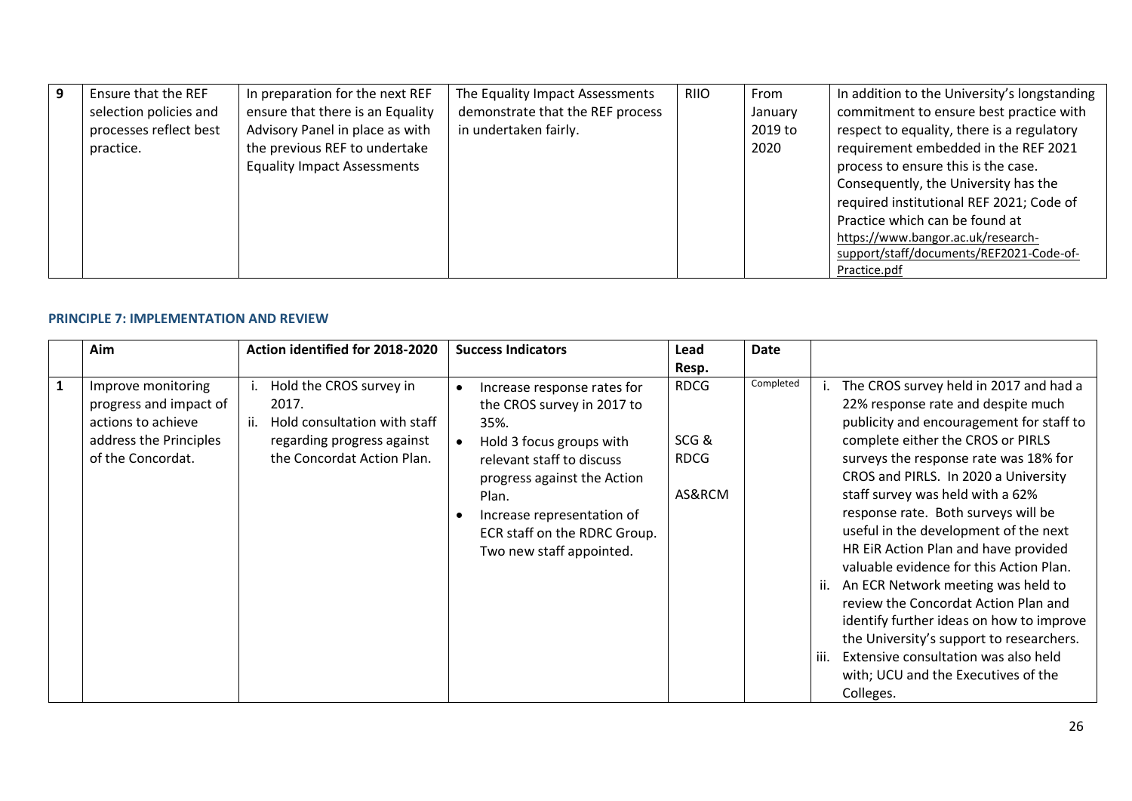| $\overline{9}$ | Ensure that the REF    | In preparation for the next REF    | The Equality Impact Assessments  | <b>RIIO</b> | From    | In addition to the University's longstanding |
|----------------|------------------------|------------------------------------|----------------------------------|-------------|---------|----------------------------------------------|
|                | selection policies and | ensure that there is an Equality   | demonstrate that the REF process |             | January | commitment to ensure best practice with      |
|                | processes reflect best | Advisory Panel in place as with    | in undertaken fairly.            |             | 2019 to | respect to equality, there is a regulatory   |
|                | practice.              | the previous REF to undertake      |                                  |             | 2020    | requirement embedded in the REF 2021         |
|                |                        | <b>Equality Impact Assessments</b> |                                  |             |         | process to ensure this is the case.          |
|                |                        |                                    |                                  |             |         | Consequently, the University has the         |
|                |                        |                                    |                                  |             |         | required institutional REF 2021; Code of     |
|                |                        |                                    |                                  |             |         | Practice which can be found at               |
|                |                        |                                    |                                  |             |         | https://www.bangor.ac.uk/research-           |
|                |                        |                                    |                                  |             |         | support/staff/documents/REF2021-Code-of-     |
|                |                        |                                    |                                  |             |         | Practice.pdf                                 |

## **PRINCIPLE 7: IMPLEMENTATION AND REVIEW**

|              | Aim                                                                                                               | Action identified for 2018-2020                                                                                                     | <b>Success Indicators</b>                                                                                                                                                                                                                                    | Lead<br>Resp.                                | Date      |                                                                                                                                                                                                                                                                                                                                                                                                                                                                                                                                                                                                                                                                                                                                        |
|--------------|-------------------------------------------------------------------------------------------------------------------|-------------------------------------------------------------------------------------------------------------------------------------|--------------------------------------------------------------------------------------------------------------------------------------------------------------------------------------------------------------------------------------------------------------|----------------------------------------------|-----------|----------------------------------------------------------------------------------------------------------------------------------------------------------------------------------------------------------------------------------------------------------------------------------------------------------------------------------------------------------------------------------------------------------------------------------------------------------------------------------------------------------------------------------------------------------------------------------------------------------------------------------------------------------------------------------------------------------------------------------------|
| $\mathbf{1}$ | Improve monitoring<br>progress and impact of<br>actions to achieve<br>address the Principles<br>of the Concordat. | Hold the CROS survey in<br>2017.<br>Hold consultation with staff<br>ii.<br>regarding progress against<br>the Concordat Action Plan. | Increase response rates for<br>the CROS survey in 2017 to<br>35%.<br>Hold 3 focus groups with<br>relevant staff to discuss<br>progress against the Action<br>Plan.<br>Increase representation of<br>ECR staff on the RDRC Group.<br>Two new staff appointed. | <b>RDCG</b><br>SCG&<br><b>RDCG</b><br>AS&RCM | Completed | The CROS survey held in 2017 and had a<br>22% response rate and despite much<br>publicity and encouragement for staff to<br>complete either the CROS or PIRLS<br>surveys the response rate was 18% for<br>CROS and PIRLS. In 2020 a University<br>staff survey was held with a 62%<br>response rate. Both surveys will be<br>useful in the development of the next<br>HR EiR Action Plan and have provided<br>valuable evidence for this Action Plan.<br>An ECR Network meeting was held to<br>ii.<br>review the Concordat Action Plan and<br>identify further ideas on how to improve<br>the University's support to researchers.<br>Extensive consultation was also held<br>iii.<br>with; UCU and the Executives of the<br>Colleges. |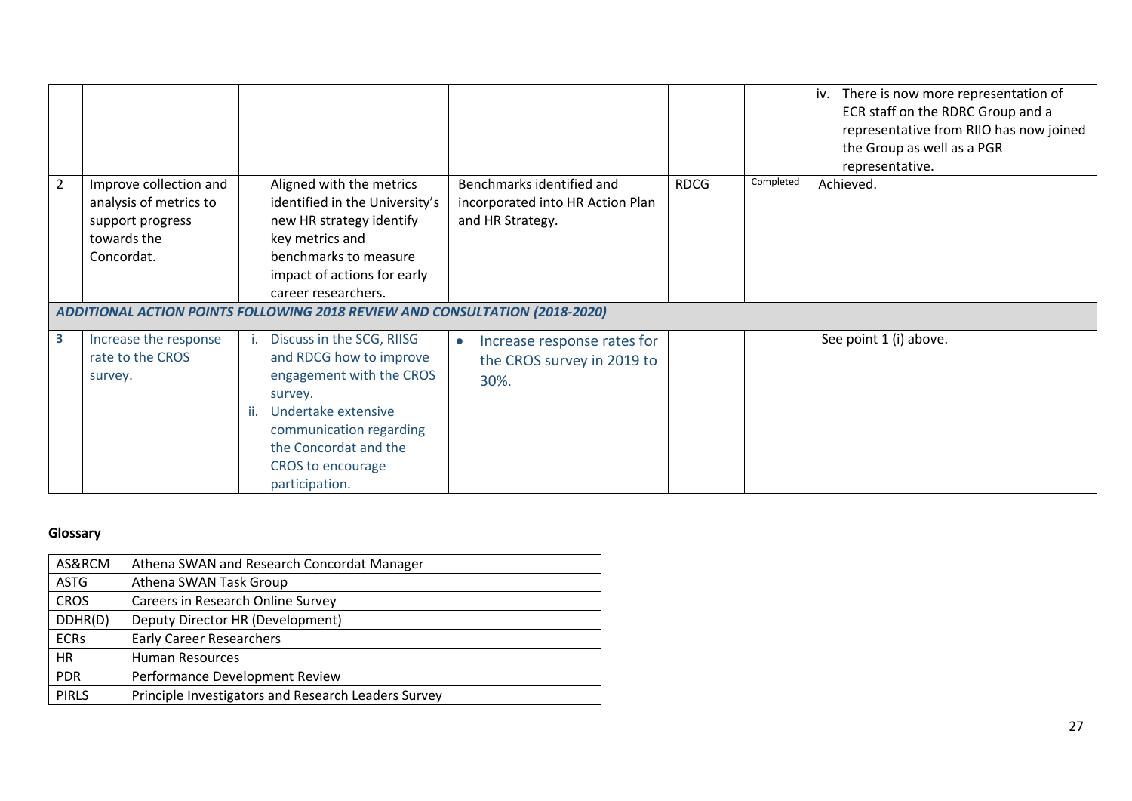|                |                                                                                                   |                                                                                                                                                                                                                       |                                                                                   |             |           | iv.<br>There is now more representation of<br>ECR staff on the RDRC Group and a<br>representative from RIIO has now joined<br>the Group as well as a PGR<br>representative. |
|----------------|---------------------------------------------------------------------------------------------------|-----------------------------------------------------------------------------------------------------------------------------------------------------------------------------------------------------------------------|-----------------------------------------------------------------------------------|-------------|-----------|-----------------------------------------------------------------------------------------------------------------------------------------------------------------------------|
| $\overline{2}$ | Improve collection and<br>analysis of metrics to<br>support progress<br>towards the<br>Concordat. | Aligned with the metrics<br>identified in the University's<br>new HR strategy identify<br>key metrics and<br>benchmarks to measure<br>impact of actions for early<br>career researchers.                              | Benchmarks identified and<br>incorporated into HR Action Plan<br>and HR Strategy. | <b>RDCG</b> | Completed | Achieved.                                                                                                                                                                   |
|                |                                                                                                   | ADDITIONAL ACTION POINTS FOLLOWING 2018 REVIEW AND CONSULTATION (2018-2020)                                                                                                                                           |                                                                                   |             |           |                                                                                                                                                                             |
| 3              | Increase the response<br>rate to the CROS<br>survey.                                              | Discuss in the SCG, RIISG<br>and RDCG how to improve<br>engagement with the CROS<br>survey.<br>Undertake extensive<br>-ii.<br>communication regarding<br>the Concordat and the<br>CROS to encourage<br>participation. | Increase response rates for<br>$\bullet$<br>the CROS survey in 2019 to<br>30%.    |             |           | See point 1 (i) above.                                                                                                                                                      |

## **Glossary**

| AS&RCM       | Athena SWAN and Research Concordat Manager          |
|--------------|-----------------------------------------------------|
| <b>ASTG</b>  | Athena SWAN Task Group                              |
| <b>CROS</b>  | Careers in Research Online Survey                   |
| DDHR(D)      | Deputy Director HR (Development)                    |
| <b>ECRs</b>  | <b>Early Career Researchers</b>                     |
| HR.          | <b>Human Resources</b>                              |
| <b>PDR</b>   | Performance Development Review                      |
| <b>PIRLS</b> | Principle Investigators and Research Leaders Survey |
|              |                                                     |